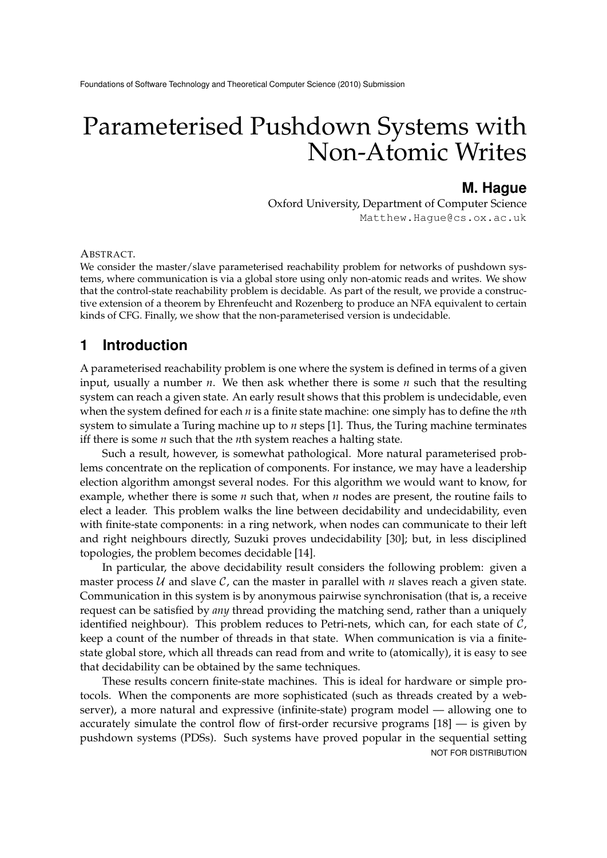# Parameterised Pushdown Systems with Non-Atomic Writes

### **M. Hague**

Oxford University, Department of Computer Science Matthew.Hague@cs.ox.ac.uk

ABSTRACT.

We consider the master/slave parameterised reachability problem for networks of pushdown systems, where communication is via a global store using only non-atomic reads and writes. We show that the control-state reachability problem is decidable. As part of the result, we provide a constructive extension of a theorem by Ehrenfeucht and Rozenberg to produce an NFA equivalent to certain kinds of CFG. Finally, we show that the non-parameterised version is undecidable.

## **1 Introduction**

A parameterised reachability problem is one where the system is defined in terms of a given input, usually a number *n*. We then ask whether there is some *n* such that the resulting system can reach a given state. An early result shows that this problem is undecidable, even when the system defined for each *n* is a finite state machine: one simply has to define the *n*th system to simulate a Turing machine up to *n* steps [1]. Thus, the Turing machine terminates iff there is some *n* such that the *n*th system reaches a halting state.

Such a result, however, is somewhat pathological. More natural parameterised problems concentrate on the replication of components. For instance, we may have a leadership election algorithm amongst several nodes. For this algorithm we would want to know, for example, whether there is some *n* such that, when *n* nodes are present, the routine fails to elect a leader. This problem walks the line between decidability and undecidability, even with finite-state components: in a ring network, when nodes can communicate to their left and right neighbours directly, Suzuki proves undecidability [30]; but, in less disciplined topologies, the problem becomes decidable [14].

In particular, the above decidability result considers the following problem: given a master process  $U$  and slave  $C$ , can the master in parallel with  $n$  slaves reach a given state. Communication in this system is by anonymous pairwise synchronisation (that is, a receive request can be satisfied by *any* thread providing the matching send, rather than a uniquely identified neighbour). This problem reduces to Petri-nets, which can, for each state of  $C$ , keep a count of the number of threads in that state. When communication is via a finitestate global store, which all threads can read from and write to (atomically), it is easy to see that decidability can be obtained by the same techniques.

These results concern finite-state machines. This is ideal for hardware or simple protocols. When the components are more sophisticated (such as threads created by a webserver), a more natural and expressive (infinite-state) program model — allowing one to accurately simulate the control flow of first-order recursive programs [18] — is given by pushdown systems (PDSs). Such systems have proved popular in the sequential setting NOT FOR DISTRIBUTION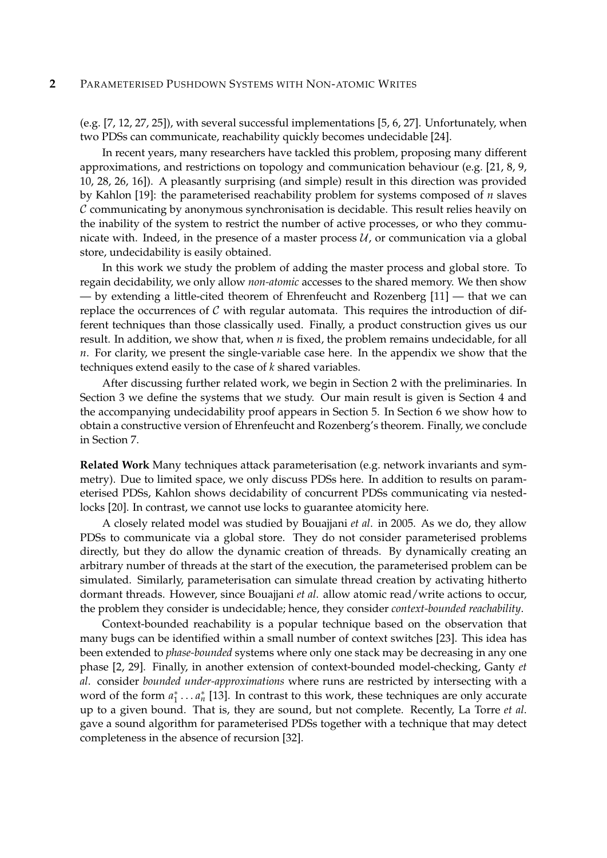(e.g. [7, 12, 27, 25]), with several successful implementations [5, 6, 27]. Unfortunately, when two PDSs can communicate, reachability quickly becomes undecidable [24].

In recent years, many researchers have tackled this problem, proposing many different approximations, and restrictions on topology and communication behaviour (e.g. [21, 8, 9, 10, 28, 26, 16]). A pleasantly surprising (and simple) result in this direction was provided by Kahlon [19]: the parameterised reachability problem for systems composed of *n* slaves  $\mathcal C$  communicating by anonymous synchronisation is decidable. This result relies heavily on the inability of the system to restrict the number of active processes, or who they communicate with. Indeed, in the presence of a master process  $\mathcal{U}$ , or communication via a global store, undecidability is easily obtained.

In this work we study the problem of adding the master process and global store. To regain decidability, we only allow *non-atomic* accesses to the shared memory. We then show — by extending a little-cited theorem of Ehrenfeucht and Rozenberg [11] — that we can replace the occurrences of  $\mathcal C$  with regular automata. This requires the introduction of different techniques than those classically used. Finally, a product construction gives us our result. In addition, we show that, when *n* is fixed, the problem remains undecidable, for all *n*. For clarity, we present the single-variable case here. In the appendix we show that the techniques extend easily to the case of *k* shared variables.

After discussing further related work, we begin in Section 2 with the preliminaries. In Section 3 we define the systems that we study. Our main result is given is Section 4 and the accompanying undecidability proof appears in Section 5. In Section 6 we show how to obtain a constructive version of Ehrenfeucht and Rozenberg's theorem. Finally, we conclude in Section 7.

**Related Work** Many techniques attack parameterisation (e.g. network invariants and symmetry). Due to limited space, we only discuss PDSs here. In addition to results on parameterised PDSs, Kahlon shows decidability of concurrent PDSs communicating via nestedlocks [20]. In contrast, we cannot use locks to guarantee atomicity here.

A closely related model was studied by Bouajjani *et al*. in 2005. As we do, they allow PDSs to communicate via a global store. They do not consider parameterised problems directly, but they do allow the dynamic creation of threads. By dynamically creating an arbitrary number of threads at the start of the execution, the parameterised problem can be simulated. Similarly, parameterisation can simulate thread creation by activating hitherto dormant threads. However, since Bouajjani *et al*. allow atomic read/write actions to occur, the problem they consider is undecidable; hence, they consider *context-bounded reachability*.

Context-bounded reachability is a popular technique based on the observation that many bugs can be identified within a small number of context switches [23]. This idea has been extended to *phase-bounded* systems where only one stack may be decreasing in any one phase [2, 29]. Finally, in another extension of context-bounded model-checking, Ganty *et al*. consider *bounded under-approximations* where runs are restricted by intersecting with a word of the form  $a_1^* \ldots a_n^*$  [13]. In contrast to this work, these techniques are only accurate up to a given bound. That is, they are sound, but not complete. Recently, La Torre *et al*. gave a sound algorithm for parameterised PDSs together with a technique that may detect completeness in the absence of recursion [32].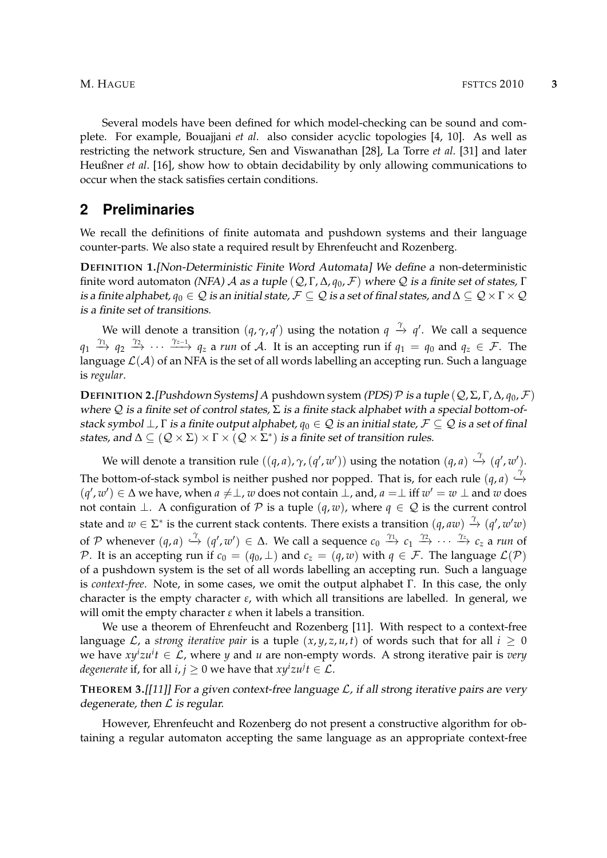Several models have been defined for which model-checking can be sound and complete. For example, Bouajjani *et al*. also consider acyclic topologies [4, 10]. As well as restricting the network structure, Sen and Viswanathan [28], La Torre *et al*. [31] and later Heußner *et al*. [16], show how to obtain decidability by only allowing communications to occur when the stack satisfies certain conditions.

### **2 Preliminaries**

We recall the definitions of finite automata and pushdown systems and their language counter-parts. We also state a required result by Ehrenfeucht and Rozenberg.

**DEFINITION 1.**[Non-Deterministic Finite Word Automata] We define a non-deterministic finite word automaton (NFA) A as a tuple  $(Q, \Gamma, \Delta, q_0, \mathcal{F})$  where Q is a finite set of states,  $\Gamma$ is a finite alphabet,  $q_0 \in \mathcal{Q}$  is an initial state,  $\mathcal{F} \subseteq \mathcal{Q}$  is a set of final states, and  $\Delta \subseteq \mathcal{Q} \times \Gamma \times \mathcal{Q}$ is a finite set of transitions.

We will denote a transition  $(q,\gamma,q')$  using the notation  $q\;\stackrel{\gamma}{\to}\;q'.$  We call a sequence  $q_1 \stackrel{\gamma_1}{\rightarrow} q_2 \stackrel{\gamma_2}{\rightarrow} \cdots \stackrel{\gamma_{z-1}}{\rightarrow} q_z$  a *run* of A. It is an accepting run if  $q_1 = q_0$  and  $q_z \in \mathcal{F}$ . The language  $\mathcal{L}(\mathcal{A})$  of an NFA is the set of all words labelling an accepting run. Such a language is *regular*.

**DEFINITION 2.**[Pushdown Systems] A pushdown system (PDS) P is a tuple  $(Q, \Sigma, \Gamma, \Delta, q_0, \mathcal{F})$ where  $Q$  is a finite set of control states,  $\Sigma$  is a finite stack alphabet with a special bottom-ofstack symbol  $\perp$ , Γ is a finite output alphabet,  $q_0 \in \mathcal{Q}$  is an initial state,  $\mathcal{F} \subseteq \mathcal{Q}$  is a set of final states, and  $\Delta\subseteq ({\cal Q}\times\Sigma)\times \Gamma\times({\cal Q}\times\Sigma^*)$  is a finite set of transition rules.

We will denote a transition rule  $((q, a), \gamma, (q', w'))$  using the notation  $(q, a) \stackrel{\gamma}{\hookrightarrow} (q', w').$ The bottom-of-stack symbol is neither pushed nor popped. That is, for each rule  $(q, a) \stackrel{\gamma}{\hookrightarrow}$  $(q', w') \in \Delta$  we have, when  $a \neq \bot$ , *w* does not contain  $\bot$ , and,  $a = \bot$  iff  $w' = w \bot$  and *w* does not contain  $\bot$ . A configuration of P is a tuple  $(q, w)$ , where  $q \in \mathcal{Q}$  is the current control state and  $w \in \Sigma^*$  is the current stack contents. There exists a transition  $(q, aw) \stackrel{\gamma}{\to} (q', w'w)$ of P whenever  $(q, a) \stackrel{\gamma}{\hookrightarrow} (q', w') \in \Delta$ . We call a sequence  $c_0 \stackrel{\gamma_1}{\longrightarrow} c_1 \stackrel{\gamma_2}{\longrightarrow} \cdots \stackrel{\gamma_z}{\longrightarrow} c_z$  a run of P. It is an accepting run if  $c_0 = (q_0, \perp)$  and  $c_z = (q, w)$  with  $q \in \mathcal{F}$ . The language  $\mathcal{L}(\mathcal{P})$ of a pushdown system is the set of all words labelling an accepting run. Such a language is *context-free*. Note, in some cases, we omit the output alphabet Γ. In this case, the only character is the empty character *ε*, with which all transitions are labelled. In general, we will omit the empty character *ε* when it labels a transition.

We use a theorem of Ehrenfeucht and Rozenberg [11]. With respect to a context-free language  $\mathcal{L}$ , a *strong iterative pair* is a tuple  $(x, y, z, u, t)$  of words such that for all  $i \geq 0$ we have *xy<sup>i</sup> zu<sup>i</sup> t* ∈ L, where *y* and *u* are non-empty words. A strong iterative pair is *very degenerate* if, for all  $i, j \geq 0$  we have that  $xy^i z u^j t \in \mathcal{L}.$ 

### **THEOREM 3.**[[11]] For a given context-free language L, if all strong iterative pairs are very degenerate, then  $L$  is regular.

However, Ehrenfeucht and Rozenberg do not present a constructive algorithm for obtaining a regular automaton accepting the same language as an appropriate context-free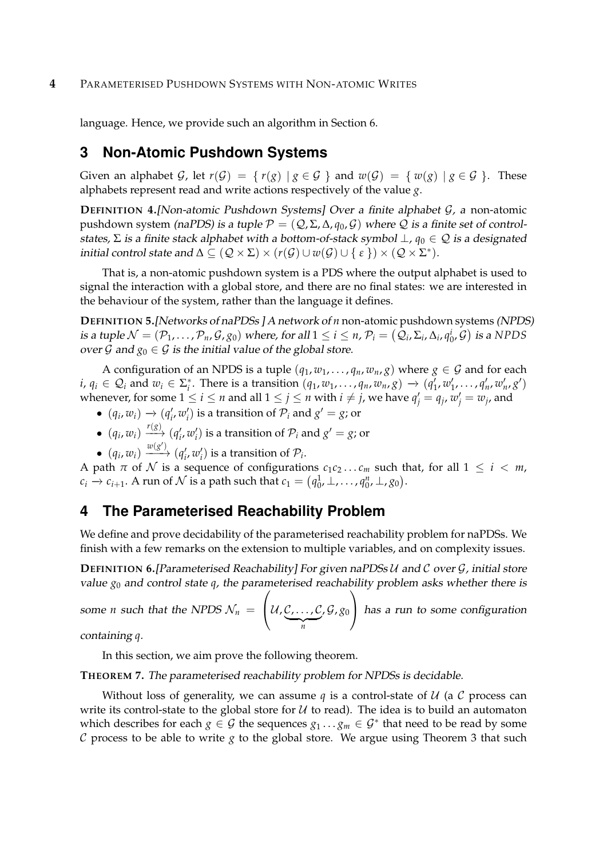language. Hence, we provide such an algorithm in Section 6.

# **3 Non-Atomic Pushdown Systems**

Given an alphabet G, let  $r(G) = \{ r(g) | g \in G \}$  and  $w(G) = \{ w(g) | g \in G \}$ . These alphabets represent read and write actions respectively of the value *g*.

**DEFINITION 4.**[Non-atomic Pushdown Systems] Over a finite alphabet G, a non-atomic pushdown system (naPDS) is a tuple  $\mathcal{P} = (\mathcal{Q}, \Sigma, \Delta, q_0, \mathcal{G})$  where  $\mathcal Q$  is a finite set of controlstates,  $\Sigma$  is a finite stack alphabet with a bottom-of-stack symbol  $\bot$ ,  $q_0 \in \mathcal{Q}$  is a designated initial control state and  $\Delta \subseteq (\mathcal{Q} \times \Sigma) \times (r(\mathcal{G}) \cup w(\mathcal{G}) \cup \{ \epsilon \}) \times (\mathcal{Q} \times \Sigma^*).$ 

That is, a non-atomic pushdown system is a PDS where the output alphabet is used to signal the interaction with a global store, and there are no final states: we are interested in the behaviour of the system, rather than the language it defines.

**DEFINITION 5.**[Networks of naPDSs ] A network of *n* non-atomic pushdown systems (NPDS) is a tuple  $\mathcal{N} = (\mathcal{P}_1, \dots, \mathcal{P}_n, \mathcal{G}, g_0)$  where, for all  $1 \leq i \leq n$ ,  $\mathcal{P}_i = (\mathcal{Q}_i, \Sigma_i, \Delta_i, q_0^i, \mathcal{G})$  is a NPDS over  $\mathcal G$  and  $g_0 \in \mathcal G$  is the initial value of the global store.

A configuration of an NPDS is a tuple  $(q_1, w_1, \ldots, q_n, w_n, g)$  where  $g \in \mathcal{G}$  and for each  $i, q_i \in \mathcal{Q}_i$  and  $w_i \in \Sigma_i^*$ . There is a transition  $(q_1, w_1, \ldots, q_n, w_n, g) \rightarrow (q'_1, w'_1, \ldots, q'_n, w'_n, g')$ whenever, for some  $1 \leq i \leq n$  and all  $1 \leq j \leq n$  with  $i \neq j$ , we have  $q'_j = q_j$ ,  $w'_j = w_j$ , and

- $(q_i, w_i) \rightarrow (q'_i, w'_i)$  is a transition of  $\mathcal{P}_i$  and  $g' = g$ ; or
- $\bullet$   $(q_i, w_i) \xrightarrow{r(g)} (q'_i, w'_i)$  is a transition of  $\mathcal{P}_i$  and  $g' = g$ ; or
- $(q_i, w_i) \xrightarrow{w(g')} (q'_i, w'_i)$  is a transition of  $\mathcal{P}_i$ .

A path  $\pi$  of  $\mathcal N$  is a sequence of configurations  $c_1c_2 \ldots c_m$  such that, for all  $1 \leq i < m$ ,  $c_i \rightarrow c_{i+1}$ . A run of  $\mathcal N$  is a path such that  $c_1 = (q_0^1, \perp, \ldots, q_0^n, \perp, g_0)$ .

# **4 The Parameterised Reachability Problem**

We define and prove decidability of the parameterised reachability problem for naPDSs. We finish with a few remarks on the extension to multiple variables, and on complexity issues.

**DEFINITION 6.**[Parameterised Reachability] For given naPDSs U and C over G, initial store value *g*<sup>0</sup> and control state *q*, the parameterised reachability problem asks whether there is

some *n* such that the NPDS  $\mathcal{N}_n$   $=$  $\sqrt{ }$  $\left\{\mathcal{U}, \mathcal{C}, \ldots, \mathcal{C}\right\}$  $\overline{n}$ , G, *g*<sup>0</sup>  $\setminus$ has a run to some configuration

containing *q*.

In this section, we aim prove the following theorem.

### **THEOREM 7.** The parameterised reachability problem for NPDSs is decidable.

Without loss of generality, we can assume  $q$  is a control-state of  $U$  (a  $C$  process can write its control-state to the global store for  $U$  to read). The idea is to build an automaton which describes for each  $g \in \mathcal{G}$  the sequences  $g_1 \ldots g_m \in \mathcal{G}^*$  that need to be read by some C process to be able to write *g* to the global store. We argue using Theorem 3 that such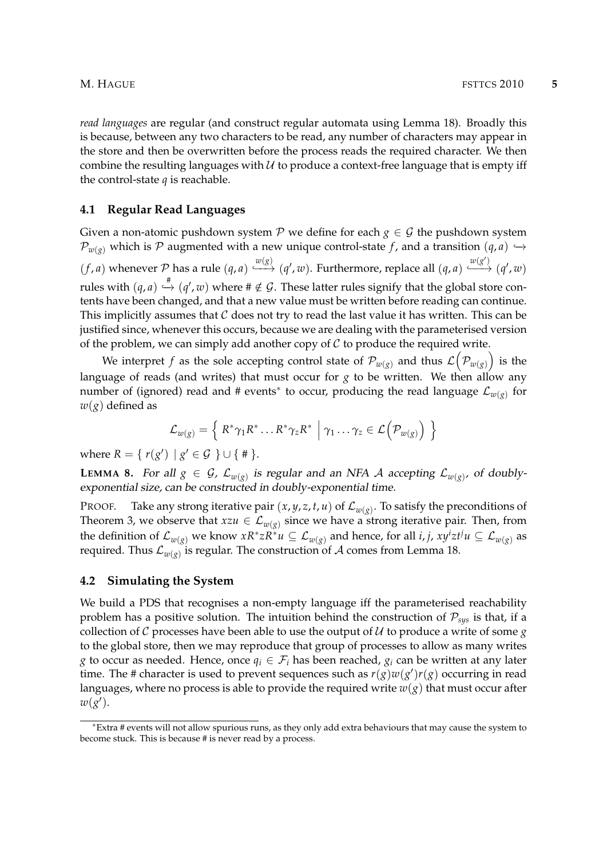*read languages* are regular (and construct regular automata using Lemma 18). Broadly this is because, between any two characters to be read, any number of characters may appear in the store and then be overwritten before the process reads the required character. We then combine the resulting languages with  $U$  to produce a context-free language that is empty iff the control-state *q* is reachable.

#### **4.1 Regular Read Languages**

Given a non-atomic pushdown system  $P$  we define for each  $g \in G$  the pushdown system  $\mathcal{P}_{w(g)}$  which is P augmented with a new unique control-state *f*, and a transition  $(q, a)$   $\hookrightarrow$  $(f, a)$  whenever P has a rule  $(q, a) \xrightarrow{w(g)} (q', w)$ . Furthermore, replace all  $(q, a) \xrightarrow{w(g')} (q', w)$ rules with  $(q, a) \stackrel{\#}{\hookrightarrow} (q', w)$  where  $\#\notin \mathcal{G}$ . These latter rules signify that the global store contents have been changed, and that a new value must be written before reading can continue. This implicitly assumes that  $C$  does not try to read the last value it has written. This can be justified since, whenever this occurs, because we are dealing with the parameterised version of the problem, we can simply add another copy of  $C$  to produce the required write.

We interpret  $f$  as the sole accepting control state of  $\mathcal{P}_{w(g)}$  and thus  $\mathcal{L}\bigl(\mathcal{P}_{w(g)}\bigr)$  is the language of reads (and writes) that must occur for *g* to be written. We then allow any number of (ignored) read and # events<sup>\*</sup> to occur, producing the read language  $\mathcal{L}_{w(g)}$  for *w*(*g*) defined as

$$
\mathcal{L}_{w(g)} = \left\{ R^* \gamma_1 R^* \dots R^* \gamma_z R^* \middle| \gamma_1 \dots \gamma_z \in \mathcal{L}(\mathcal{P}_{w(g)}) \right\}
$$

where  $R = \{ r(g') | g' \in G \} \cup \{ # \}.$ 

**LEMMA 8.** For all  $g \in \mathcal{G}$ ,  $\mathcal{L}_{w(g)}$  is regular and an NFA  $\mathcal{A}$  accepting  $\mathcal{L}_{w(g)}$ , of doublyexponential size, can be constructed in doubly-exponential time.

PROOF. Take any strong iterative pair  $(x, y, z, t, u)$  of  $\mathcal{L}_{w(g)}$ . To satisfy the preconditions of Theorem 3, we observe that  $xzu \in \mathcal{L}_{w(g)}$  since we have a strong iterative pair. Then, from the definition of  $\mathcal{L}_{w(g)}$  we know  $xR^*zR^*u\subseteq\mathcal{L}_{w(g)}$  and hence, for all *i*, *j*,  $xy^izt^ju\subseteq\mathcal{L}_{w(g)}$  as required. Thus  $\mathcal{L}_{w(g)}$  is regular. The construction of  $\mathcal A$  comes from Lemma 18.

#### **4.2 Simulating the System**

We build a PDS that recognises a non-empty language iff the parameterised reachability problem has a positive solution. The intuition behind the construction of  $P_{sys}$  is that, if a collection of  $C$  processes have been able to use the output of  $U$  to produce a write of some  $g$ to the global store, then we may reproduce that group of processes to allow as many writes *g* to occur as needed. Hence, once  $q_i \in \mathcal{F}_i$  has been reached,  $g_i$  can be written at any later time. The # character is used to prevent sequences such as  $r(g)w(g')r(g)$  occurring in read languages, where no process is able to provide the required write  $w(g)$  that must occur after  $w(g')$ .

<sup>∗</sup>Extra # events will not allow spurious runs, as they only add extra behaviours that may cause the system to become stuck. This is because # is never read by a process.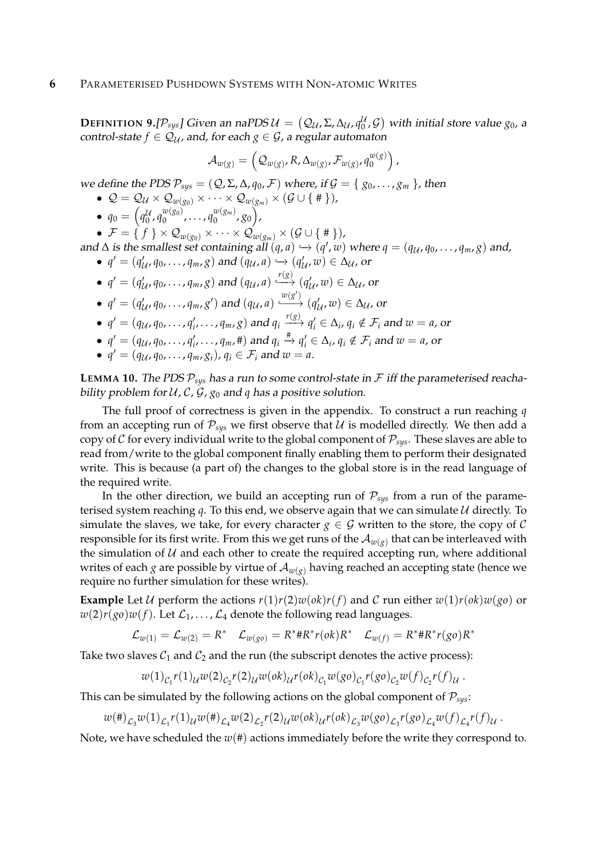**DEFINITION 9.**[ $\mathcal{P}_{sys}$ ] Given an naPDS  $\mathcal{U} = (Q_{\mathcal{U}}, \Sigma, \Delta_{\mathcal{U}}, q_0^{\mathcal{U}}, \mathcal{G})$  with initial store value  $g_0$ , a control-state  $f \in \mathcal{Q}_u$ , and, for each  $g \in \mathcal{G}$ , a regular automaton

$$
\mathcal{A}_{w(g)} = \left( \mathcal{Q}_{w(g)}, R, \Delta_{w(g)}, \mathcal{F}_{w(g)}, q_0^{w(g)} \right),
$$

we define the PDS  $\mathcal{P}_{sys} = (Q, \Sigma, \Delta, q_0, \mathcal{F})$  where, if  $\mathcal{G} = \{g_0, \ldots, g_m\}$ , then

- $\bullet$   $\mathcal{Q} = \mathcal{Q}_{\mathcal{U}} \times \mathcal{Q}_{w(g_0)} \times \cdots \times \mathcal{Q}_{w(g_m)} \times (\mathcal{G} \cup \Set{\#})$  ,
- $q_0 = \left( q_0^{\mathcal{U}}, q_0^{w(g_0)} \right)$  $\begin{bmatrix} w(g_0) & \cdots & g_0^{w(g_m)} \end{bmatrix}$  $\binom{w(g_m)}{0}$ ,  $g_0$ ),

 $\bullet$   $\mathcal{F} = \set{f} \times \mathcal{Q}_{w(g_0)} \times \cdots \times \mathcal{Q}_{w(g_m)} \times (\mathcal{G} \cup \set{\#})$ 

- and  $\Delta$  is the smallest set containing all  $(q, a) \hookrightarrow (q', w)$  where  $q = (q_{\mathcal{U}}, q_0, \ldots, q_m, g)$  and, •  $q' = (q'_{\mathcal{U}}, q_0, \ldots, q_m, g)$  and  $(q_{\mathcal{U}}, a) \hookrightarrow (q'_{\mathcal{U}}, w) \in \Delta_{\mathcal{U}}$ , or
	- $q' = (q'_{\mathcal{U}}, q_0, \ldots, q_m, g)$  and  $(q_{\mathcal{U}}, a) \stackrel{r(g)}{\longrightarrow} (q'_{\mathcal{U}}, w) \in \Delta_{\mathcal{U}}$ , or
	- $q' = (q'_{\mathcal{U}}, q_0, \ldots, q_m, g')$  and  $(q_{\mathcal{U}}, a) \xrightarrow{w(g')} (q'_{\mathcal{U}}, w) \in \Delta_{\mathcal{U}}$ , or
	- $q' = (q_{\mathcal{U}}, q_0, \ldots, q_i', \ldots, q_m, g)$  and  $q_i \xrightarrow{r(g)} q_i' \in \Delta_i$ ,  $q_i \notin \mathcal{F}_i$  and  $w = a$ , or
	- $q' = (q_u, q_0, \ldots, q'_i, \ldots, q_m, \#)$  and  $q_i \stackrel{\#}{\rightarrow} q'_i \in \Delta_i$ ,  $q_i \notin \mathcal{F}_i$  and  $w = a$ , or
	- $q' = (q_{\mathcal{U}}, q_0, \ldots, q_m, g_i)$ ,  $q_i \in \mathcal{F}_i$  and  $w = a$ .

**LEMMA 10.** The PDS  $P_{sys}$  has a run to some control-state in  $F$  iff the parameterised reachability problem for  $U$ ,  $C$ ,  $G$ ,  $g_0$  and  $q$  has a positive solution.

The full proof of correctness is given in the appendix. To construct a run reaching *q* from an accepting run of  $P_{\text{sus}}$  we first observe that U is modelled directly. We then add a copy of  $C$  for every individual write to the global component of  $P_{sys}$ . These slaves are able to read from/write to the global component finally enabling them to perform their designated write. This is because (a part of) the changes to the global store is in the read language of the required write.

In the other direction, we build an accepting run of  $P_{\text{sys}}$  from a run of the parameterised system reaching  $q$ . To this end, we observe again that we can simulate  $U$  directly. To simulate the slaves, we take, for every character  $g \in \mathcal{G}$  written to the store, the copy of C responsible for its first write. From this we get runs of the  $\mathcal{A}_{w(g)}$  that can be interleaved with the simulation of  $U$  and each other to create the required accepting run, where additional writes of each *g* are possible by virtue of  $\mathcal{A}_{w(g)}$  having reached an accepting state (hence we require no further simulation for these writes).

**Example** Let U perform the actions  $r(1)r(2)w(ok)r(f)$  and C run either  $w(1)r(ok)w(go)$  or  $w(2)r(go)w(f)$ . Let  $\mathcal{L}_1,\ldots,\mathcal{L}_4$  denote the following read languages.

$$
\mathcal{L}_{w(1)} = \mathcal{L}_{w(2)} = R^* \quad \mathcal{L}_{w(go)} = R^* \# R^* r(ok) R^* \quad \mathcal{L}_{w(f)} = R^* \# R^* r(go) R^*
$$

Take two slaves  $C_1$  and  $C_2$  and the run (the subscript denotes the active process):

$$
w(1)_{C_1}r(1)_{\mathcal{U}}w(2)_{C_2}r(2)_{\mathcal{U}}w(ok)_{\mathcal{U}}r(ok)_{C_1}w(go)_{C_1}r(go)_{C_2}w(f)_{C_2}r(f)_{\mathcal{U}}
$$
.

This can be simulated by the following actions on the global component of  $P_{sys}$ :

$$
w(\#)_{\mathcal{L}_3}w(1)_{\mathcal{L}_1}r(1)_{\mathcal{U}}w(\#)_{\mathcal{L}_4}w(2)_{\mathcal{L}_2}r(2)_{\mathcal{U}}w(ok)_{\mathcal{U}}r(ok)_{\mathcal{L}_3}w(go)_{\mathcal{L}_3}r(go)_{\mathcal{L}_4}w(f)_{\mathcal{L}_4}r(f)_{\mathcal{U}}.
$$

Note, we have scheduled the *w*(#) actions immediately before the write they correspond to.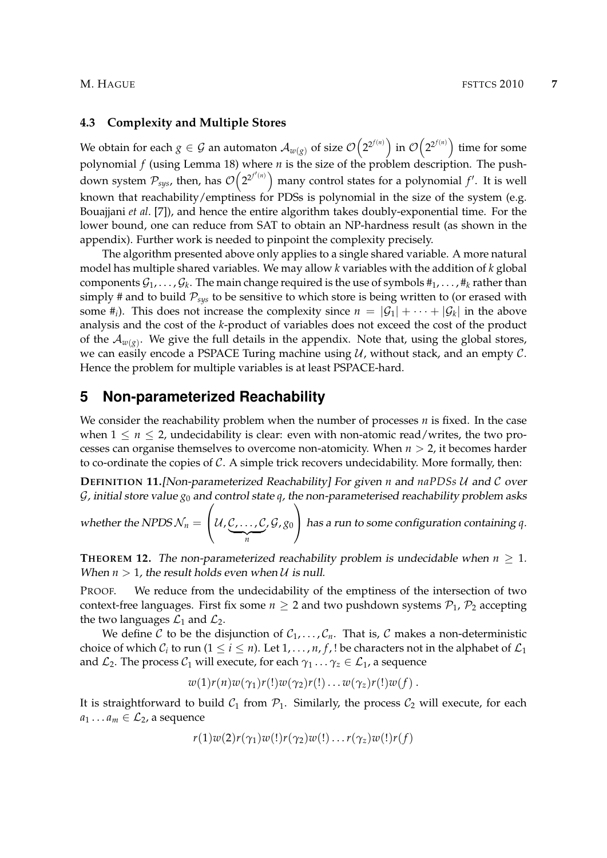#### **4.3 Complexity and Multiple Stores**

We obtain for each  $g\in\mathcal{G}$  an automaton  $\mathcal{A}_{w(g)}$  of size  $\mathcal{O}\big(2^{2^{f(n)}}\big)$  in  $\mathcal{O}\big(2^{2^{f(n)}}\big)$  time for some polynomial *f* (using Lemma 18) where *n* is the size of the problem description. The pushdown system  $\mathcal{P}_{sys}$ , then, has  $\mathcal{O}\left(2^{2^{f'(n)}}\right)$  many control states for a polynomial  $f'$ . It is well known that reachability/emptiness for PDSs is polynomial in the size of the system (e.g. Bouajjani *et al*. [7]), and hence the entire algorithm takes doubly-exponential time. For the lower bound, one can reduce from SAT to obtain an NP-hardness result (as shown in the appendix). Further work is needed to pinpoint the complexity precisely.

The algorithm presented above only applies to a single shared variable. A more natural model has multiple shared variables. We may allow *k* variables with the addition of *k* global components  $\mathcal{G}_1,\ldots,\mathcal{G}_k.$  The main change required is the use of symbols  $\#_1,\ldots,\#_k$  rather than simply # and to build  $P_{sys}$  to be sensitive to which store is being written to (or erased with some  $\#_i$ ). This does not increase the complexity since  $n = |\mathcal{G}_1| + \cdots + |\mathcal{G}_k|$  in the above analysis and the cost of the *k*-product of variables does not exceed the cost of the product of the  $\mathcal{A}_{w(g)}$ . We give the full details in the appendix. Note that, using the global stores, we can easily encode a PSPACE Turing machine using  $\mathcal{U}$ , without stack, and an empty  $\mathcal{C}$ . Hence the problem for multiple variables is at least PSPACE-hard.

### **5 Non-parameterized Reachability**

We consider the reachability problem when the number of processes *n* is fixed. In the case when  $1 \le n \le 2$ , undecidability is clear: even with non-atomic read/writes, the two processes can organise themselves to overcome non-atomicity. When *n* > 2, it becomes harder to co-ordinate the copies of  $C$ . A simple trick recovers undecidability. More formally, then:

**DEFINITION 11.**[Non-parameterized Reachability] For given *n* and *naPDSs* U and C over  $G$ , initial store value  $g_0$  and control state  $q$ , the non-parameterised reachability problem asks

whether the NPDS  $\mathcal{N}_n =$  $\sqrt{ }$  $\left\{\mathcal{U}, \mathcal{C}, \ldots, \mathcal{C}\right\}$  $\overline{n}$ , G, *g*<sup>0</sup>  $\setminus$ has a run to some configuration containing *<sup>q</sup>*.

**THEOREM 12.** The non-parameterized reachability problem is undecidable when  $n \geq 1$ . When  $n > 1$ , the result holds even when  $U$  is null.

PROOF. We reduce from the undecidability of the emptiness of the intersection of two context-free languages. First fix some  $n \geq 2$  and two pushdown systems  $P_1$ ,  $P_2$  accepting the two languages  $\mathcal{L}_1$  and  $\mathcal{L}_2$ .

We define C to be the disjunction of  $C_1, \ldots, C_n$ . That is, C makes a non-deterministic choice of which  $\mathcal{C}_i$  to run ( $1 \leq i \leq n$ ). Let  $1, \ldots, n$ ,  $f$ , ! be characters not in the alphabet of  $\mathcal{L}_1$ and  $\mathcal{L}_2$ . The process  $\mathcal{C}_1$  will execute, for each  $\gamma_1 \dots \gamma_z \in \mathcal{L}_1$ , a sequence

$$
w(1)r(n)w(\gamma_1)r(!)w(\gamma_2)r(!) \ldots w(\gamma_z)r(!)w(f).
$$

It is straightforward to build  $C_1$  from  $P_1$ . Similarly, the process  $C_2$  will execute, for each  $a_1 \ldots a_m \in \mathcal{L}_2$ , a sequence

$$
r(1)w(2)r(\gamma_1)w(!)r(\gamma_2)w(!) \ldots r(\gamma_z)w(!)r(f)
$$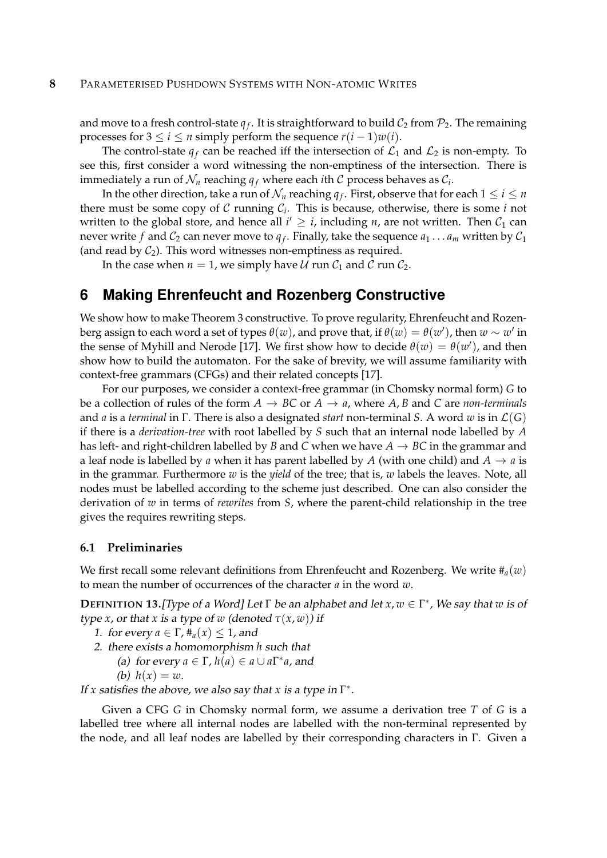and move to a fresh control-state  $q_f$ . It is straightforward to build  $\mathcal{C}_2$  from  $\mathcal{P}_2.$  The remaining processes for  $3 \le i \le n$  simply perform the sequence  $r(i-1)w(i)$ .

The control-state  $q_f$  can be reached iff the intersection of  $\mathcal{L}_1$  and  $\mathcal{L}_2$  is non-empty. To see this, first consider a word witnessing the non-emptiness of the intersection. There is immediately a run of  $\mathcal{N}_n$  reaching  $q_f$  where each *i*th  $\mathcal C$  process behaves as  $\mathcal{C}_i$ .

In the other direction, take a run of  $\mathcal{N}_n$  reaching  $q_f.$  First, observe that for each  $1\leq i\leq n$ there must be some copy of C running C*<sup>i</sup>* . This is because, otherwise, there is some *i* not written to the global store, and hence all  $i' \geq i$ , including *n*, are not written. Then  $\mathcal{C}_1$  can never write  $f$  and  $\mathcal{C}_2$  can never move to  $q_f$ . Finally, take the sequence  $a_1 \dots a_m$  written by  $\mathcal{C}_1$ (and read by  $C_2$ ). This word witnesses non-emptiness as required.

In the case when  $n = 1$ , we simply have U run  $C_1$  and C run  $C_2$ .

# **6 Making Ehrenfeucht and Rozenberg Constructive**

We show how to make Theorem 3 constructive. To prove regularity, Ehrenfeucht and Rozenberg assign to each word a set of types  $\theta(w)$ , and prove that, if  $\theta(w) = \theta(w')$ , then  $w \sim w'$  in the sense of Myhill and Nerode [17]. We first show how to decide  $\theta(w) = \theta(w')$ , and then show how to build the automaton. For the sake of brevity, we will assume familiarity with context-free grammars (CFGs) and their related concepts [17].

For our purposes, we consider a context-free grammar (in Chomsky normal form) *G* to be a collection of rules of the form  $A \rightarrow BC$  or  $A \rightarrow a$ , where  $A, B$  and  $C$  are *non-terminals* and *a* is a *terminal* in Γ. There is also a designated *start* non-terminal *S*. A word *w* is in L(*G*) if there is a *derivation-tree* with root labelled by *S* such that an internal node labelled by *A* has left- and right-children labelled by *B* and *C* when we have  $A \rightarrow BC$  in the grammar and a leaf node is labelled by *a* when it has parent labelled by *A* (with one child) and  $A \rightarrow a$  is in the grammar. Furthermore *w* is the *yield* of the tree; that is, *w* labels the leaves. Note, all nodes must be labelled according to the scheme just described. One can also consider the derivation of *w* in terms of *rewrites* from *S*, where the parent-child relationship in the tree gives the requires rewriting steps.

#### **6.1 Preliminaries**

We first recall some relevant definitions from Ehrenfeucht and Rozenberg. We write  $#_a(w)$ to mean the number of occurrences of the character *a* in the word *w*.

**DEFINITION 13.**[Type of a Word] Let Γ be an alphabet and let *x*, *w* ∈ Γ ∗ , We say that *w* is of type *x*, or that *x* is a type of *w* (denoted  $\tau(x, w)$ ) if

- 1. for every  $a \in \Gamma$ ,  $\#_a(x) \leq 1$ , and
- 2. there exists a homomorphism *h* such that
	- (a) for every  $a \in \Gamma$ ,  $h(a) \in a \cup a\Gamma^*a$ , and
		- (b)  $h(x) = w$ .

If *x* satisfies the above, we also say that *x* is a type in  $\Gamma^*$ .

Given a CFG *G* in Chomsky normal form, we assume a derivation tree *T* of *G* is a labelled tree where all internal nodes are labelled with the non-terminal represented by the node, and all leaf nodes are labelled by their corresponding characters in Γ. Given a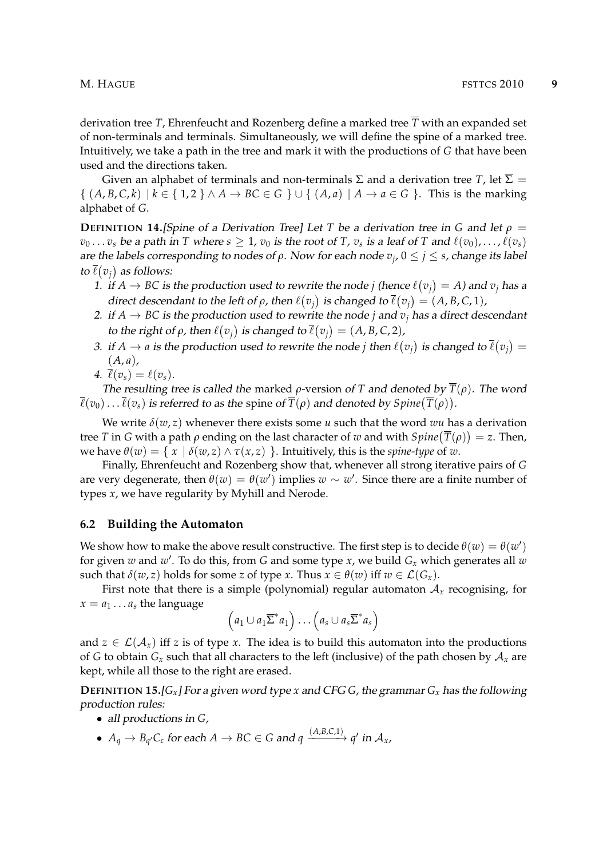derivation tree *T*, Ehrenfeucht and Rozenberg define a marked tree  $\overline{T}$  with an expanded set of non-terminals and terminals. Simultaneously, we will define the spine of a marked tree. Intuitively, we take a path in the tree and mark it with the productions of *G* that have been used and the directions taken.

Given an alphabet of terminals and non-terminals  $\Sigma$  and a derivation tree *T*, let  $\overline{\Sigma}$  =  $\{(A, B, C, k) \mid k \in \{1, 2\} \land A \rightarrow BC \in G\} \cup \{(A, a) \mid A \rightarrow a \in G\}$ . This is the marking alphabet of *G*.

**DEFINITION 14.**[Spine of a Derivation Tree] Let *T* be a derivation tree in *G* and let  $\rho$  =  $v_0 \ldots v_s$  be a path in T where  $s \geq 1$ ,  $v_0$  is the root of T,  $v_s$  is a leaf of T and  $\ell(v_0), \ldots, \ell(v_s)$ are the labels corresponding to nodes of *ρ*. Now for each node *v<sup>j</sup>* , 0 ≤ *j* ≤ *s*, change its label to  $\overline{\ell}(v_j)$  as follows:

- 1. if  $A \rightarrow BC$  is the production used to rewrite the node *j* (hence  $\ell(v_j) = A$ ) and  $v_j$  has a direct descendant to the left of  $\rho$ , then  $\ell(v_j)$  is changed to  $\overline{\ell}(v_j) = (A, B, C, 1)$ ,
- 2. if  $A \rightarrow BC$  is the production used to rewrite the node *j* and  $v_j$  has a direct descendant *to the right of*  $\rho$ *, then*  $\ell(v_j)$  *is changed to*  $\overline{\ell}(v_j) = (A, B, C, 2)$ *,*
- 3. if  $A \to a$  is the production used to rewrite the node *j* then  $\ell(v_j)$  is changed to  $\overline{\ell}(v_j) =$  $(A, a)$ ,

$$
4. \ \overline{\ell}(v_s) = \ell(v_s).
$$

The resulting tree is called the marked  $\rho$ -version of *T* and denoted by  $\overline{T}(\rho)$ . The word  $\overline{\ell}(v_0) \ldots \overline{\ell}(v_s)$  is referred to as the spine of  $\overline{T}(\rho)$  and denoted by  $Spine(\overline{T}(\rho))$ .

We write  $\delta(w, z)$  whenever there exists some *u* such that the word *wu* has a derivation tree  $T$  in  $G$  with a path  $\rho$  ending on the last character of  $w$  and with  $Spine(\overline{T}(\rho))=$  z. Then, we have  $\theta(w) = \{ x \mid \delta(w, z) \wedge \tau(x, z) \}$ . Intuitively, this is the *spine-type* of *w*.

Finally, Ehrenfeucht and Rozenberg show that, whenever all strong iterative pairs of *G* are very degenerate, then  $\theta(w) = \theta(w')$  implies  $w \sim w'$ . Since there are a finite number of types *x*, we have regularity by Myhill and Nerode.

#### **6.2 Building the Automaton**

We show how to make the above result constructive. The first step is to decide  $\theta(w) = \theta(w')$ for given *w* and *w* 0 . To do this, from *G* and some type *x*, we build *G<sup>x</sup>* which generates all *w* such that  $\delta(w, z)$  holds for some *z* of type *x*. Thus  $x \in \theta(w)$  iff  $w \in \mathcal{L}(G_x)$ .

First note that there is a simple (polynomial) regular automaton  $A_x$  recognising, for  $x = a_1 \dots a_s$  the language

$$
(a_1 \cup a_1 \overline{\Sigma}^* a_1) \dots (a_s \cup a_s \overline{\Sigma}^* a_s)
$$

and  $z \in \mathcal{L}(\mathcal{A}_x)$  iff *z* is of type *x*. The idea is to build this automaton into the productions of *G* to obtain  $G_x$  such that all characters to the left (inclusive) of the path chosen by  $A_x$  are kept, while all those to the right are erased.

**DEFINITION 15.**[ $G_x$ ] For a given word type *x* and CFG *G*, the grammar  $G_x$  has the following production rules:

- all productions in *G*,
- $\bullet$   $A_q \to B_{q'}C_{\varepsilon}$  for each  $A \to BC \in G$  and  $q \xrightarrow{(A,B,C,1)} q'$  in  $\mathcal{A}_x$ ,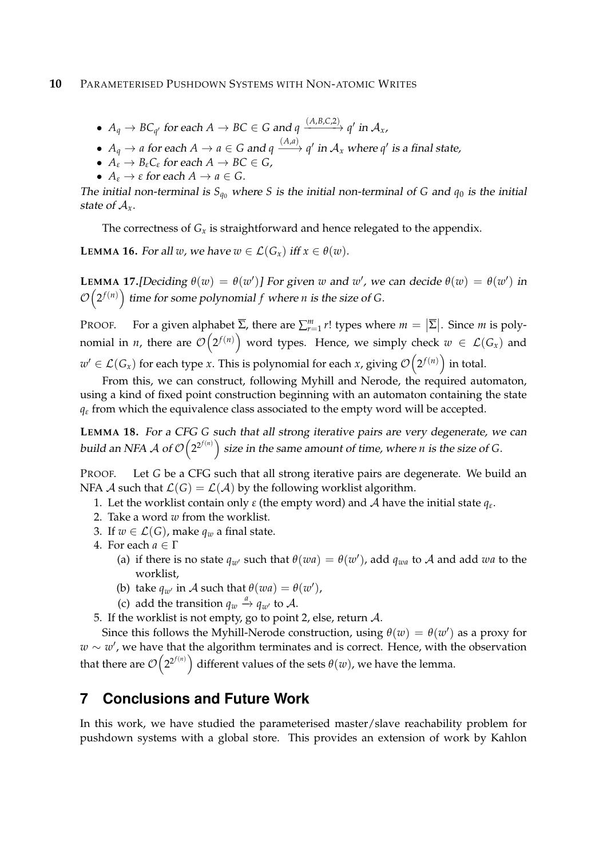- $\bullet$   $A_q \to BC_{q'}$  for each  $A \to BC \in G$  and  $q \xrightarrow{(A,B,C,2)} q'$  in  $\mathcal{A}_x$ ,
- $A_q \rightarrow a$  for each  $A \rightarrow a \in G$  and  $q \xrightarrow{(A,a)} q'$  in  $\mathcal{A}_x$  where  $q'$  is a final state,
- $A_{\varepsilon} \to B_{\varepsilon} C_{\varepsilon}$  for each  $A \to BC \in G$ ,
- $A_{\varepsilon} \to \varepsilon$  for each  $A \to a \in G$ .

The initial non-terminal is  $S_{q_0}$  where *S* is the initial non-terminal of *G* and  $q_0$  is the initial state of A*x*.

The correctness of  $G_x$  is straightforward and hence relegated to the appendix.

**LEMMA 16.** For all *w*, we have  $w \in \mathcal{L}(G_x)$  iff  $x \in \theta(w)$ .

**LEMMA 17.**[Deciding  $\theta(w) = \theta(w')$ ] For given *w* and *w*', we can decide  $\theta(w) = \theta(w')$  in  $\mathcal{O}\big(2^{f(n)}\big)$  time for some polynomial  $f$  where *n* is the size of *G*.

**PROOF.** For a given alphabet  $\overline{\Sigma}$ , there are  $\sum_{r=1}^{m} r!$  types where  $m = |\overline{\Sigma}|$ . Since *m* is polynomial in *n,* there are  $\mathcal{O}\big(2^{f(n)}\big)$  word types. Hence, we simply check  $w~\in~\mathcal{L}(G_x)$  and  $w' \in \mathcal{L}(G_x)$  for each type *x*. This is polynomial for each *x*, giving  $\mathcal{O}\big(2^{f(n)}\big)$  in total.

From this, we can construct, following Myhill and Nerode, the required automaton, using a kind of fixed point construction beginning with an automaton containing the state *q<sup>ε</sup>* from which the equivalence class associated to the empty word will be accepted.

**LEMMA 18.** For a CFG *G* such that all strong iterative pairs are very degenerate, we can build an NFA  ${\cal A}$  of  ${\cal O}\bigl(2^{2^{f(n)}}\bigr)$  size in the same amount of time, where  $n$  is the size of  $G.$ 

PROOF. Let *G* be a CFG such that all strong iterative pairs are degenerate. We build an NFA A such that  $\mathcal{L}(G) = \mathcal{L}(\mathcal{A})$  by the following worklist algorithm.

- 1. Let the worklist contain only *ε* (the empty word) and A have the initial state *q<sup>ε</sup>* .
- 2. Take a word *w* from the worklist.
- 3. If  $w \in \mathcal{L}(G)$ , make  $q_w$  a final state.
- 4. For each  $a \in \Gamma$ 
	- (a) if there is no state  $q_{w'}$  such that  $\theta(wa) = \theta(w')$ , add  $q_{wa}$  to A and add *wa* to the worklist,
	- (b) take  $q_{w'}$  in A such that  $\theta(wa) = \theta(w')$ ,
	- (c) add the transition  $q_w \stackrel{a}{\rightarrow} q_{w'}$  to A.
- 5. If the worklist is not empty, go to point 2, else, return A.

Since this follows the Myhill-Nerode construction, using  $\theta(w) = \theta(w')$  as a proxy for *w* ∼ *w'*, we have that the algorithm terminates and is correct. Hence, with the observation that there are  $\mathcal{O}\big(2^{2^{f(n)}}\big)$  different values of the sets  $\theta(w)$ , we have the lemma.

# **7 Conclusions and Future Work**

In this work, we have studied the parameterised master/slave reachability problem for pushdown systems with a global store. This provides an extension of work by Kahlon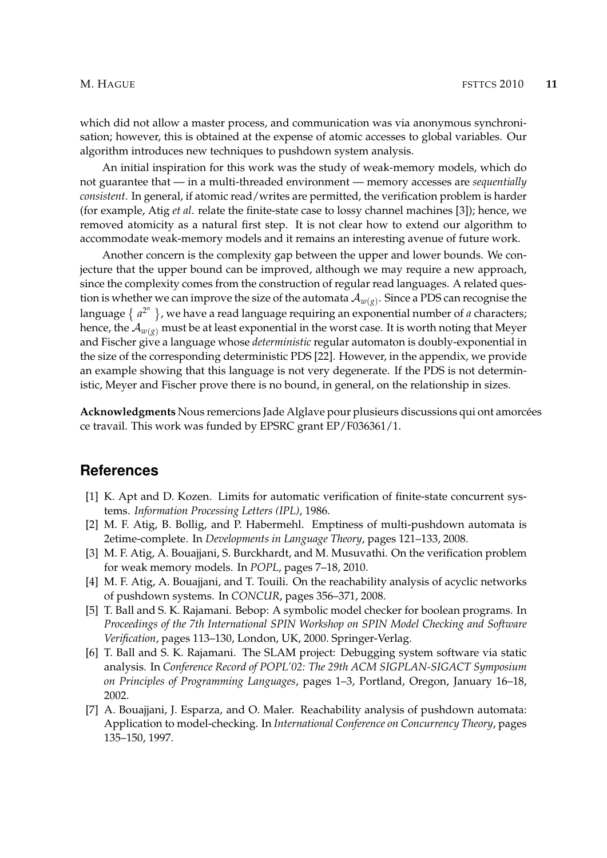which did not allow a master process, and communication was via anonymous synchronisation; however, this is obtained at the expense of atomic accesses to global variables. Our algorithm introduces new techniques to pushdown system analysis.

An initial inspiration for this work was the study of weak-memory models, which do not guarantee that — in a multi-threaded environment — memory accesses are *sequentially consistent*. In general, if atomic read/writes are permitted, the verification problem is harder (for example, Atig *et al*. relate the finite-state case to lossy channel machines [3]); hence, we removed atomicity as a natural first step. It is not clear how to extend our algorithm to accommodate weak-memory models and it remains an interesting avenue of future work.

Another concern is the complexity gap between the upper and lower bounds. We conjecture that the upper bound can be improved, although we may require a new approach, since the complexity comes from the construction of regular read languages. A related question is whether we can improve the size of the automata  $\mathcal{A}_{w(g)}$ . Since a PDS can recognise the language {  $a^{2^n}$  }, we have a read language requiring an exponential number of *a* characters; hence, the  $\mathcal{A}_{w(s)}$  must be at least exponential in the worst case. It is worth noting that Meyer and Fischer give a language whose *deterministic* regular automaton is doubly-exponential in the size of the corresponding deterministic PDS [22]. However, in the appendix, we provide an example showing that this language is not very degenerate. If the PDS is not deterministic, Meyer and Fischer prove there is no bound, in general, on the relationship in sizes.

Acknowledgments Nous remercions Jade Alglave pour plusieurs discussions qui ont amorcées ce travail. This work was funded by EPSRC grant EP/F036361/1.

### **References**

- [1] K. Apt and D. Kozen. Limits for automatic verification of finite-state concurrent systems. *Information Processing Letters (IPL)*, 1986.
- [2] M. F. Atig, B. Bollig, and P. Habermehl. Emptiness of multi-pushdown automata is 2etime-complete. In *Developments in Language Theory*, pages 121–133, 2008.
- [3] M. F. Atig, A. Bouajjani, S. Burckhardt, and M. Musuvathi. On the verification problem for weak memory models. In *POPL*, pages 7–18, 2010.
- [4] M. F. Atig, A. Bouajjani, and T. Touili. On the reachability analysis of acyclic networks of pushdown systems. In *CONCUR*, pages 356–371, 2008.
- [5] T. Ball and S. K. Rajamani. Bebop: A symbolic model checker for boolean programs. In *Proceedings of the 7th International SPIN Workshop on SPIN Model Checking and Software Verification*, pages 113–130, London, UK, 2000. Springer-Verlag.
- [6] T. Ball and S. K. Rajamani. The SLAM project: Debugging system software via static analysis. In *Conference Record of POPL'02: The 29th ACM SIGPLAN-SIGACT Symposium on Principles of Programming Languages*, pages 1–3, Portland, Oregon, January 16–18, 2002.
- [7] A. Bouajjani, J. Esparza, and O. Maler. Reachability analysis of pushdown automata: Application to model-checking. In *International Conference on Concurrency Theory*, pages 135–150, 1997.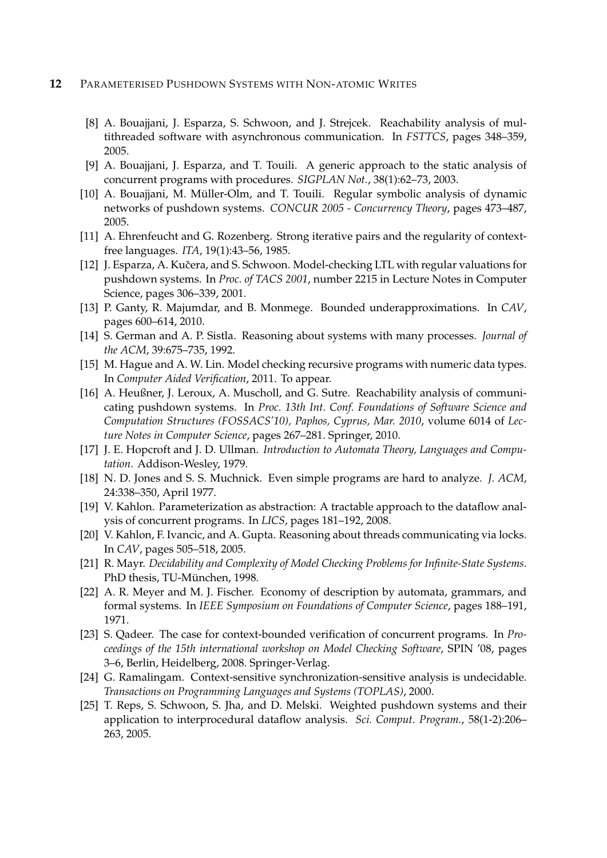#### **12** PARAMETERISED PUSHDOWN SYSTEMS WITH NON-ATOMIC WRITES

- [8] A. Bouajjani, J. Esparza, S. Schwoon, and J. Strejcek. Reachability analysis of multithreaded software with asynchronous communication. In *FSTTCS*, pages 348–359, 2005.
- [9] A. Bouajjani, J. Esparza, and T. Touili. A generic approach to the static analysis of concurrent programs with procedures. *SIGPLAN Not.*, 38(1):62–73, 2003.
- [10] A. Bouajjani, M. Müller-Olm, and T. Touili. Regular symbolic analysis of dynamic networks of pushdown systems. *CONCUR 2005 - Concurrency Theory*, pages 473–487, 2005.
- [11] A. Ehrenfeucht and G. Rozenberg. Strong iterative pairs and the regularity of contextfree languages. *ITA*, 19(1):43–56, 1985.
- [12] J. Esparza, A. Kučera, and S. Schwoon. Model-checking LTL with regular valuations for pushdown systems. In *Proc. of TACS 2001*, number 2215 in Lecture Notes in Computer Science, pages 306–339, 2001.
- [13] P. Ganty, R. Majumdar, and B. Monmege. Bounded underapproximations. In *CAV*, pages 600–614, 2010.
- [14] S. German and A. P. Sistla. Reasoning about systems with many processes. *Journal of the ACM*, 39:675–735, 1992.
- [15] M. Hague and A. W. Lin. Model checking recursive programs with numeric data types. In *Computer Aided Verification*, 2011. To appear.
- [16] A. Heußner, J. Leroux, A. Muscholl, and G. Sutre. Reachability analysis of communicating pushdown systems. In *Proc. 13th Int. Conf. Foundations of Software Science and Computation Structures (FOSSACS'10), Paphos, Cyprus, Mar. 2010*, volume 6014 of *Lecture Notes in Computer Science*, pages 267–281. Springer, 2010.
- [17] J. E. Hopcroft and J. D. Ullman. *Introduction to Automata Theory, Languages and Computation*. Addison-Wesley, 1979.
- [18] N. D. Jones and S. S. Muchnick. Even simple programs are hard to analyze. *J. ACM*, 24:338–350, April 1977.
- [19] V. Kahlon. Parameterization as abstraction: A tractable approach to the dataflow analysis of concurrent programs. In *LICS*, pages 181–192, 2008.
- [20] V. Kahlon, F. Ivancic, and A. Gupta. Reasoning about threads communicating via locks. In *CAV*, pages 505–518, 2005.
- [21] R. Mayr. *Decidability and Complexity of Model Checking Problems for Infinite-State Systems*. PhD thesis, TU-München, 1998.
- [22] A. R. Meyer and M. J. Fischer. Economy of description by automata, grammars, and formal systems. In *IEEE Symposium on Foundations of Computer Science*, pages 188–191, 1971.
- [23] S. Qadeer. The case for context-bounded verification of concurrent programs. In *Proceedings of the 15th international workshop on Model Checking Software*, SPIN '08, pages 3–6, Berlin, Heidelberg, 2008. Springer-Verlag.
- [24] G. Ramalingam. Context-sensitive synchronization-sensitive analysis is undecidable. *Transactions on Programming Languages and Systems (TOPLAS)*, 2000.
- [25] T. Reps, S. Schwoon, S. Jha, and D. Melski. Weighted pushdown systems and their application to interprocedural dataflow analysis. *Sci. Comput. Program.*, 58(1-2):206– 263, 2005.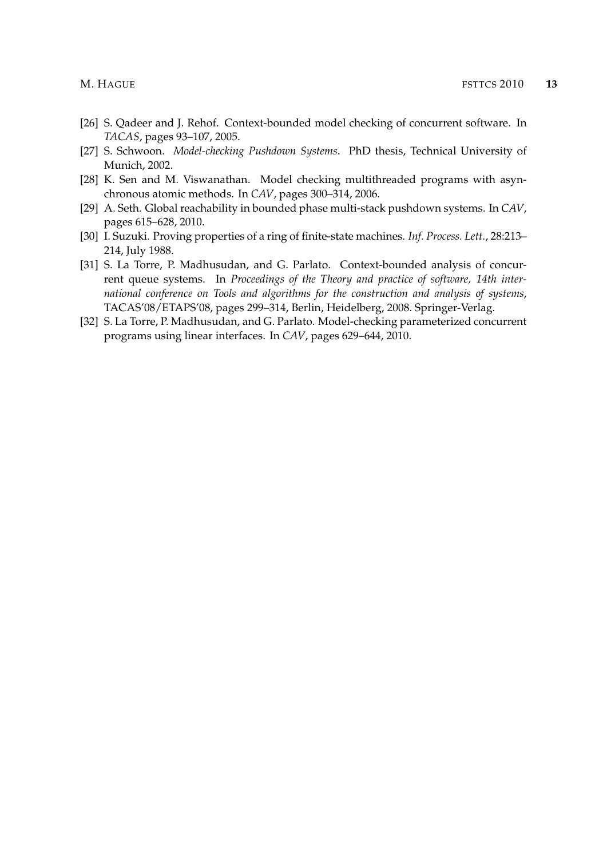- [26] S. Qadeer and J. Rehof. Context-bounded model checking of concurrent software. In *TACAS*, pages 93–107, 2005.
- [27] S. Schwoon. *Model-checking Pushdown Systems*. PhD thesis, Technical University of Munich, 2002.
- [28] K. Sen and M. Viswanathan. Model checking multithreaded programs with asynchronous atomic methods. In *CAV*, pages 300–314, 2006.
- [29] A. Seth. Global reachability in bounded phase multi-stack pushdown systems. In *CAV*, pages 615–628, 2010.
- [30] I. Suzuki. Proving properties of a ring of finite-state machines. *Inf. Process. Lett.*, 28:213– 214, July 1988.
- [31] S. La Torre, P. Madhusudan, and G. Parlato. Context-bounded analysis of concurrent queue systems. In *Proceedings of the Theory and practice of software, 14th international conference on Tools and algorithms for the construction and analysis of systems*, TACAS'08/ETAPS'08, pages 299–314, Berlin, Heidelberg, 2008. Springer-Verlag.
- [32] S. La Torre, P. Madhusudan, and G. Parlato. Model-checking parameterized concurrent programs using linear interfaces. In *CAV*, pages 629–644, 2010.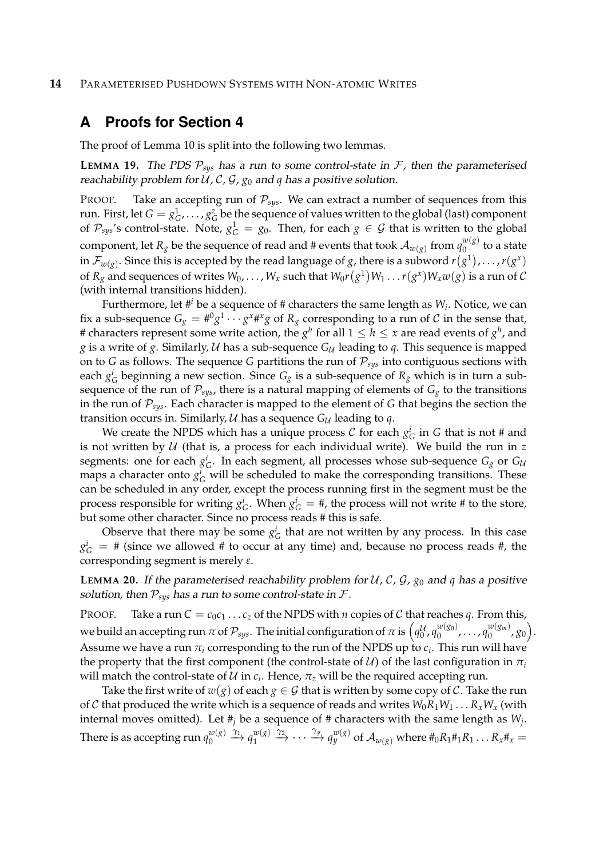#### **14** PARAMETERISED PUSHDOWN SYSTEMS WITH NON-ATOMIC WRITES

# **A Proofs for Section 4**

The proof of Lemma 10 is split into the following two lemmas.

**LEMMA 19.** The PDS  $P_{sys}$  has a run to some control-state in  $F$ , then the parameterised reachability problem for  $U$ ,  $C$ ,  $G$ ,  $g_0$  and  $q$  has a positive solution.

PROOF. Take an accepting run of  $P_{sys}$ . We can extract a number of sequences from this run. First, let  $G = g_G^1, \ldots, g_G^z$  be the sequence of values written to the global (last) component of  $\mathcal{P}_{sys}$ 's control-state. Note,  $g_G^1 = g_0$ . Then, for each  $g \in \mathcal{G}$  that is written to the global component, let  $R_g$  be the sequence of read and # events that took  ${\cal A}_{w(g)}$  from  $q_0^{w(g)}$  $\int_{0}^{\omega(g)}$  to a state in  $\mathcal{F}_{w(g)}.$  Since this is accepted by the read language of  $g$ , there is a subword  $r(g^1),\ldots,r(g^x)$ of  $R_g$  and sequences of writes  $W_0,\ldots,W_x$  such that  $W_0r\big(g^1\big)W_1\ldots r(g^x)W_xw(g)$  is a run of  ${\cal C}$ (with internal transitions hidden).

Furthermore, let #*<sup>i</sup>* be a sequence of # characters the same length as *W<sup>i</sup>* . Notice, we can fix a sub-sequence  $G_g = \#^0 g^1 \cdots g^x \#^x g$  of  $R_g$  corresponding to a run of  ${\cal C}$  in the sense that, # characters represent some write action, the  $g^h$  for all  $1\leq h\leq x$  are read events of  $g^h$ , and *g* is a write of *g*. Similarly,  $U$  has a sub-sequence  $G_U$  leading to *q*. This sequence is mapped on to *G* as follows. The sequence *G* partitions the run of  $P_{sys}$  into contiguous sections with each  $g_G^i$  beginning a new section. Since  $G_g$  is a sub-sequence of  $R_g$  which is in turn a subsequence of the run of  $P_{sys}$ , there is a natural mapping of elements of  $G_g$  to the transitions in the run of P*sys*. Each character is mapped to the element of *G* that begins the section the transition occurs in. Similarly,  $U$  has a sequence  $G_U$  leading to  $q$ .

We create the NPDS which has a unique process  $\mathcal C$  for each  $g_G^i$  in  $G$  that is not # and is not written by  $U$  (that is, a process for each individual write). We build the run in  $z$ segments: one for each  $g_G^i$ . In each segment, all processes whose sub-sequence  $G_g$  or  $G_{\mathcal{U}}$ maps a character onto  $g_G^i$  will be scheduled to make the corresponding transitions. These can be scheduled in any order, except the process running first in the segment must be the process responsible for writing  $g_G^i$ . When  $g_G^i = \text{\#}$ , the process will not write # to the store, but some other character. Since no process reads # this is safe.

Observe that there may be some  $g_G^i$  that are not written by any process. In this case  $g_G^i = #$  (since we allowed # to occur at any time) and, because no process reads #, the corresponding segment is merely *ε*.

**LEMMA 20.** If the parameterised reachability problem for  $U$ , C,  $\mathcal{G}$ ,  $g_0$  and  $q$  has a positive solution, then  $P_{sys}$  has a run to some control-state in  $\mathcal{F}$ .

PROOF. Take a run  $C = c_0c_1 \ldots c_z$  of the NPDS with *n* copies of *C* that reaches *q*. From this, we build an accepting run  $\pi$  of  $\mathcal{P}_{sys}.$  The initial configuration of  $\pi$  is  $\left(q_0^{\mathcal{U}},q_0^{w(g_0)}\right)$  $\begin{bmatrix} w(g_0) \\ 0 \end{bmatrix}$ , ...,  $q_0^{w(g_m)}$  $\binom{w(g_m)}{0}$ ,  $g_0$ ). Assume we have a run  $\pi_i$  corresponding to the run of the NPDS up to  $c_i.$  This run will have the property that the first component (the control-state of  $U$ ) of the last configuration in  $\pi$ <sup>*i*</sup> will match the control-state of  $\mathcal U$  in  $c_i$ . Hence,  $\pi_z$  will be the required accepting run.

Take the first write of  $w(g)$  of each  $g \in G$  that is written by some copy of C. Take the run of C that produced the write which is a sequence of reads and writes  $W_0R_1W_1 \ldots R_xW_x$  (with internal moves omitted). Let #*<sup>j</sup>* be a sequence of # characters with the same length as *W<sup>j</sup>* . There is as accepting run  $q_0^{w(g)}$  $\begin{array}{c}\n w(g) \rightarrow \gamma_1 \\
0\n \end{array}$   $q_1^{w(g)}$  $\frac{w(s)}{1}$   $\stackrel{\gamma_2}{\longrightarrow}$   $\cdots$   $\stackrel{\gamma_y}{\longrightarrow}$   $q_y^{w(g)}$  of  $\mathcal{A}_{w(g)}$  where  $\#_0R_1\#_1R_1 \ldots R_x\#_x =$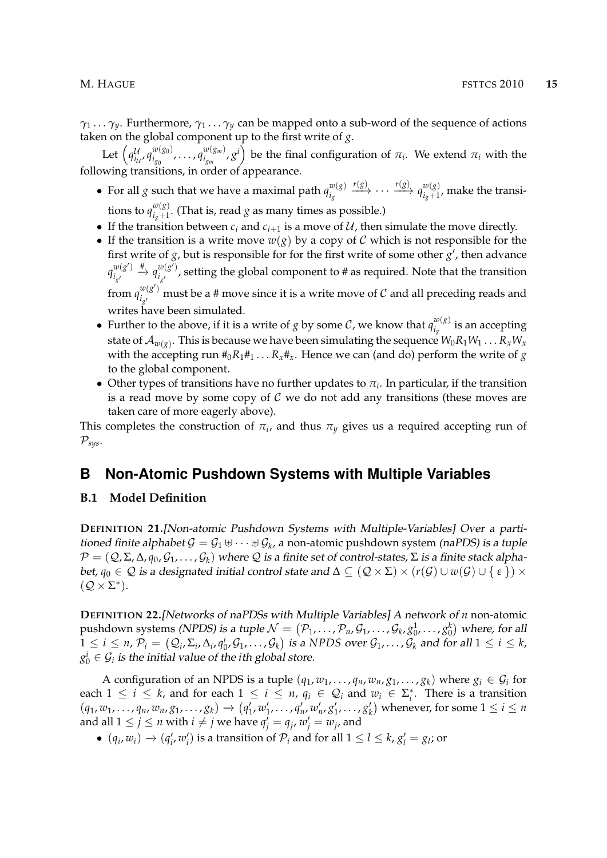*γ*<sup>1</sup> . . . *γy*. Furthermore, *γ*<sup>1</sup> . . . *γ<sup>y</sup>* can be mapped onto a sub-word of the sequence of actions taken on the global component up to the first write of *g*.

Let  $\left( q_{i}^{\mathcal{U}}\right)$ *i*U , *q w*(*g*0)  $\frac{w(g_0)}{i_{g_0}}$ , ...,  $q_{i_{g_m}}^{w(g_m)}$  $\left(\begin{array}{c} w({g}_m)\ s^{ij},\ g^{ij}\end{array}\right)$  be the final configuration of  $\pi_i.$  We extend  $\pi_i$  with the following transitions, in order of appearance.

- For all *g* such that we have a maximal path  $q_i^{w(g)}$ *ig*  $\xrightarrow{r(g)} \cdots \xrightarrow{r(g)} q_{i+1}^{w(g)}$  $\int_{i_g+1}^{w(g)}$ , make the transitions to  $q_{i_{\alpha}+1}^{w(g)}$  $\frac{d^{(1)}(x)}{d_{g}+1}$ . (That is, read *g* as many times as possible.)
- If the transition between  $c_i$  and  $c_{i+1}$  is a move of  $U$ , then simulate the move directly.
- If the transition is a write move  $w(g)$  by a copy of C which is not responsible for the first write of  $g$ , but is responsible for for the first write of some other  $g'$ , then advance  $q_i^{w(g')}$ *i*<sub>g</sub>  $\stackrel{\#}{\rightarrow} q_i^{\scriptscriptstyle w(g')}$  $\frac{u_{\backslash 8}}{l_{s'}}$  , setting the global component to # as required. Note that the transition from  $q_i^{w(g)}$  $\frac{w(g)}{g'}$  must be a # move since it is a write move of  $\cal C$  and all preceding reads and writes have been simulated.
- Further to the above, if it is a write of *g* by some *C*, we know that  $q_{i}^{w(g)}$  $\frac{w(S)}{i_g}$  is an accepting state of  $\mathcal{A}_{w(g)}$ . This is because we have been simulating the sequence  $W_0R_1W_1\ldots R_xW_x$ with the accepting run  $#_0R_1#_1 \ldots R_x#_x$ . Hence we can (and do) perform the write of *g* to the global component.
- Other types of transitions have no further updates to  $\pi_i$ . In particular, if the transition is a read move by some copy of  $C$  we do not add any transitions (these moves are taken care of more eagerly above).

This completes the construction of  $\pi_i$ , and thus  $\pi_y$  gives us a required accepting run of  $\mathcal{P}_{sys}$ .

# **B Non-Atomic Pushdown Systems with Multiple Variables**

#### **B.1 Model Definition**

**DEFINITION 21.**[Non-atomic Pushdown Systems with Multiple-Variables] Over a partitioned finite alphabet  $\mathcal{G} = \mathcal{G}_1 \uplus \cdots \uplus \mathcal{G}_k$ , a non-atomic pushdown system (naPDS) is a tuple  $\mathcal{P} = (\mathcal{Q}, \Sigma, \Delta, q_0, \mathcal{G}_1, \ldots, \mathcal{G}_k)$  where  $\mathcal Q$  is a finite set of control-states,  $\Sigma$  is a finite stack alphabet,  $q_0 \in \mathcal{Q}$  is a designated initial control state and  $\Delta \subseteq (\mathcal{Q} \times \Sigma) \times (r(\mathcal{G}) \cup w(\mathcal{G}) \cup \{\varepsilon\}) \times$  $(Q \times \Sigma^*)$ .

**DEFINITION 22.**[Networks of naPDSs with Multiple Variables] A network of *n* non-atomic pushdown systems *(NPDS) is a tuple*  $\mathcal{N}=(\mathcal{P}_1,\ldots,\mathcal{P}_n,\mathcal{G}_1,\ldots,\mathcal{G}_k,\allowbreak g_0^1,\ldots,g_0^k)$  *where, for all*  $1 \leq i \leq n$ ,  $\mathcal{P}_i = (Q_i, \Sigma_i, \Delta_i, q_0^i, \mathcal{G}_1, \ldots, \mathcal{G}_k)$  is a NPDS over  $\mathcal{G}_1, \ldots, \mathcal{G}_k$  and for all  $1 \leq i \leq k$ ,  $g_0^i \in \mathcal{G}_i$  is the initial value of the *i*th global store.

A configuration of an NPDS is a tuple  $(q_1, w_1, \ldots, q_n, w_n, g_1, \ldots, g_k)$  where  $g_i \in \mathcal{G}_i$  for each  $1 \leq i \leq k$ , and for each  $1 \leq i \leq n$ ,  $q_i \in \mathcal{Q}_i$  and  $w_i \in \Sigma_i^*$ . There is a transition  $(q_1, w_1, \ldots, q_n, w_n, g_1, \ldots, g_k) \rightarrow (q'_1, w'_1, \ldots, q'_n, w'_n, g'_1, \ldots, g'_k)$  whenever, for some  $1 \le i \le n$ and all  $1 \leq j \leq n$  with  $i \neq j$  we have  $q'_j = q_j$ ,  $w'_j = w_j$ , and

 $\bullet$  (*q<sub>i</sub>*, *w<sub>i</sub>*) → (*q'<sub>i</sub>*, *w'<sub>i</sub>*) is a transition of  $\mathcal{P}_i$  and for all 1 ≤ *l* ≤ *k*, *g'<sub>l</sub>* = *g*<sub>*l*</sub>; or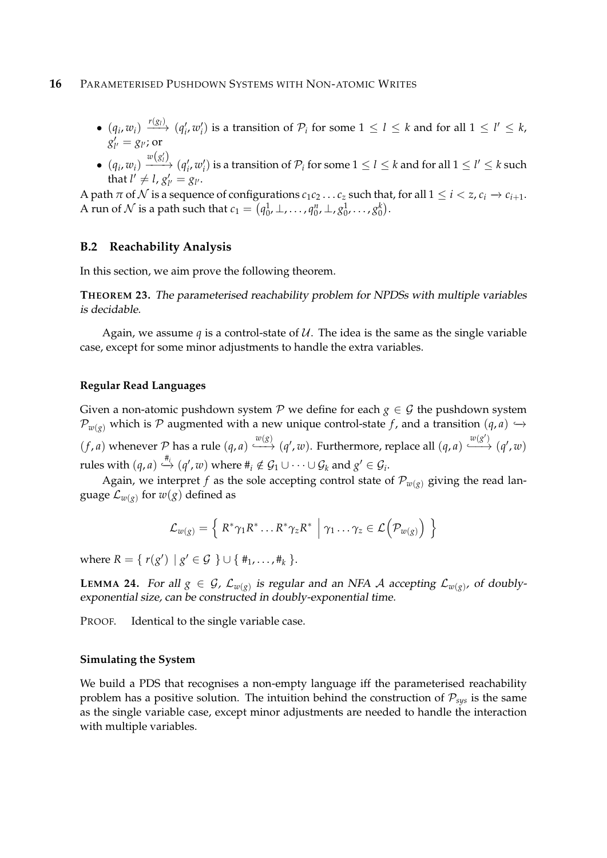- $\bullet$   $(q_i, w_i) \xrightarrow{r(g_i)} (q'_i, w'_i)$  is a transition of  $\mathcal{P}_i$  for some  $1 \leq l \leq k$  and for all  $1 \leq l' \leq k$ ,  $g'_{l'} = g_{l'}$ ; or
- $\bullet$   $(q_i, w_i)$  $\frac{w(g'_l)}{g'_l}$   $(q'_i, w'_i)$  is a transition of  $\mathcal{P}_i$  for some  $1 \leq l \leq k$  and for all  $1 \leq l' \leq k$  such that  $l' \neq l$ ,  $g'_{l'} = g_{l'}$ .

A path  $\pi$  of  $\mathcal N$  is a sequence of configurations  $c_1c_2 \ldots c_z$  such that, for all  $1 \leq i < z$ ,  $c_i \to c_{i+1}$ . A run of  $\mathcal N$  is a path such that  $c_1 = (q_0^1, \perp, \ldots, q_0^n, \perp, g_0^1, \ldots, g_0^k)$ .

#### **B.2 Reachability Analysis**

In this section, we aim prove the following theorem.

**THEOREM 23.** The parameterised reachability problem for NPDSs with multiple variables is decidable.

Again, we assume *q* is a control-state of  $U$ . The idea is the same as the single variable case, except for some minor adjustments to handle the extra variables.

#### **Regular Read Languages**

Given a non-atomic pushdown system  $P$  we define for each  $g \in G$  the pushdown system  $\mathcal{P}_{w(g)}$  which is P augmented with a new unique control-state *f*, and a transition  $(q, a)$   $\rightarrow$  $(f, a)$  whenever P has a rule  $(q, a) \xrightarrow{w(g)} (q', w)$ . Furthermore, replace all  $(q, a) \xrightarrow{w(g')} (q', w)$ rules with  $(q, a) \stackrel{#_i}{\hookrightarrow} (q', w)$  where  $\#_i \notin \mathcal{G}_1 \cup \cdots \cup \mathcal{G}_k$  and  $g' \in \mathcal{G}_i$ .

Again, we interpret *f* as the sole accepting control state of  $\mathcal{P}_{w(g)}$  giving the read language  $\mathcal{L}_{w(g)}$  for  $w(g)$  defined as

$$
\mathcal{L}_{w(g)} = \left\{ R^* \gamma_1 R^* \dots R^* \gamma_z R^* \middle| \gamma_1 \dots \gamma_z \in \mathcal{L}(\mathcal{P}_{w(g)}) \right\}
$$

where  $R = \{ r(g') | g' \in G \} \cup \{ \#_1, \ldots, \#_k \}.$ 

**LEMMA 24.** For all  $g \in \mathcal{G}$ ,  $\mathcal{L}_{w(g)}$  is regular and an NFA  $\mathcal{A}$  accepting  $\mathcal{L}_{w(g)}$ , of doublyexponential size, can be constructed in doubly-exponential time.

PROOF. Identical to the single variable case.

#### **Simulating the System**

We build a PDS that recognises a non-empty language iff the parameterised reachability problem has a positive solution. The intuition behind the construction of  $P_{\text{sys}}$  is the same as the single variable case, except minor adjustments are needed to handle the interaction with multiple variables.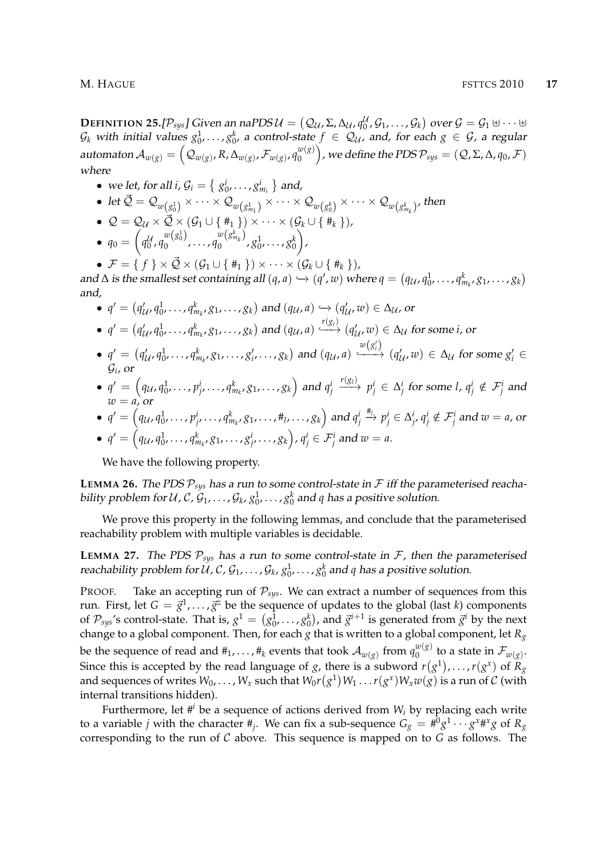M. HAGUE FSTTCS 2010 **17**

**DEFINITION 25.**[ $\mathcal{P}_{sys}$ ] Given an naPDS  $\mathcal{U} = (\mathcal{Q}_{\mathcal{U}}, \Sigma, \Delta_{\mathcal{U}}, q_0^{\mathcal{U}}, \mathcal{G}_1, \ldots, \mathcal{G}_k)$  over  $\mathcal{G} = \mathcal{G}_1 \uplus \cdots \uplus$  $\mathcal{G}_k$  with initial values  $g_0^1,\ldots,g_0^k$ , a control-state  $f\in\mathcal{Q}_\mathcal{U}$ , and, for each  $g\in\mathcal{G}$ , a regular automaton  $\mathcal{A}_{w(g)} = \left( \mathcal{Q}_{w(g)}, R, \Delta_{w(g)}, \mathcal{F}_{w(g)}, q_0^{w(g)} \right)$  $\binom{w(g)}{0}$  , we define the PDS  $\mathcal{P}_{sys} = (\mathcal{Q}, \Sigma, \Delta, q_0, \mathcal{F})$ where

- we let, for all  $i$ ,  $\mathcal{G}_i = \left\{ g_0^i, \ldots, g_{m_i}^i \right\}$  and,
- $\bullet \ \operatorname{let} \vec{\mathcal{Q}} = \mathcal{Q}_{w\left(g^1_0\right)} \times \cdots \times \mathcal{Q}_{w\left(g^1_{m_1}\right)} \times \cdots \times \mathcal{Q}_{w\left(g^k_0\right)} \times \cdots \times \mathcal{Q}_{w\left(g^k_{m_k}\right)},$  then
- $Q = Q_{\mathcal{U}} \times \vec{\mathcal{Q}} \times (\mathcal{G}_1 \cup \{\#_1\}) \times \cdots \times (\mathcal{G}_k \cup \{\#_k\})$  $\bullet$   $q_0 = ($ *q* U 0 , *q w*(*g* 1 0)  $w(g_0^1)$ ,  $w(g_{m_k}^k)$ <br>0,  $w(g_{m_k}^k)$  $\frac{1}{2}$   $\frac{1}{2}$   $\frac{1}{20}$   $\cdots$   $\frac{1}{20}$  $\setminus$ ,
- $\mathcal{F} = \{ f \} \times \vec{\mathcal{Q}} \times (\mathcal{G}_1 \cup \{\#_1\}) \times \cdots \times (\mathcal{G}_k \cup \{\#_k\}),$

and  $\Delta$  is the smallest set containing all  $(q, a) \hookrightarrow (q', w)$  where  $q = (q_{\mathcal{U}}, q_0^1, \ldots, q_{m_k}^k, g_1, \ldots, g_k)$ and,

- $q' = (q'_{\mathcal{U}}, q^1_0, \ldots, q^k_{m_k}, g_1, \ldots, g_k)$  and  $(q_{\mathcal{U}}, a) \hookrightarrow (q'_{\mathcal{U}}, w) \in \Delta_{\mathcal{U}}$ , or
- $q'=(q'_{\mathcal{U}},q^1_0,\ldots,q^k_{m_k},g_1,\ldots,g_k)$  and  $(q_{\mathcal{U}},a)\xrightarrow{r(g_i)} (q'_{\mathcal{U}},w)\in\Delta_{\mathcal{U}}$  for some *i*, or
- $q' = (q'_{\mathcal{U}}, q^1_0, \ldots, q^k_{m_k}, g_1, \ldots, g'_i, \ldots, g_k)$  and  $(q_{\mathcal{U}}, a)$  $w(g'_i)$  $\xrightarrow{\alpha(\delta_i)} (q'_{\mathcal{U}}, w) \in \Delta_{\mathcal{U}}$  for some  $g'_i \in$  $\mathcal{G}_i$ , or
- $\bullet$   $q' = \left(q_{\mathcal{U}}, q_{0}^{1}, \ldots, p_{j'}^{i}, \ldots, q_{m_{k'}}^{k} g_{1}, \ldots, g_{k}\right)$  and  $q_{j}^{i}$  $r(g_i)$   $p_j^i \in \Delta_j^i$  for some *l*,  $q_j^i \notin \mathcal{F}_j^i$  and  $w = a$ , or
- $\bullet\,\,q'=\left(q_\mathcal{U},q_0^1,\ldots,p_{j'}^i,\ldots,q_{m_k}^k,g_1,\ldots,\#_l,\ldots,g_k\right)\, \text{and}\, q_j^i\overset{\#_l}{\to}p_j^i\in\Delta_{j'}^i\,q_j^i\notin\mathcal{F}_j^i\,\, \text{and}\,\,w=a,\, \text{or}\,\,j\in\mathcal{S}_j\right)$  $\bullet\,\,q'=\left(q_{\mathcal U},q_{0'}^1,\ldots,q_{m_{k'}}^k g_1,\ldots,g_{j'}^i,\ldots,g_k\right)$  ,  $q_j^i\in\mathcal F_j^i$  and  $w=a.$

We have the following property.

**LEMMA 26.** The PDS  $P_{sys}$  has a run to some control-state in  $F$  iff the parameterised reachability problem for  $\mathcal{U}$  ,  $\mathcal{C}$  ,  $\mathcal{G}_1$  ,  $\dots$  ,  $\mathcal{G}_k$  ,  $g_0^1$  ,  $\dots$  ,  $g_0^k$  and  $q$  has a positive solution.

We prove this property in the following lemmas, and conclude that the parameterised reachability problem with multiple variables is decidable.

**LEMMA 27.** The PDS  $P_{sys}$  has a run to some control-state in  $F$ , then the parameterised reachability problem for U, C,  $\mathcal{G}_1, \ldots, \mathcal{G}_k$ ,  $g_0^1, \ldots, g_0^k$  and  $q$  has a positive solution.

PROOF. Take an accepting run of  $P_{sys}$ . We can extract a number of sequences from this run. First, let  $G = \vec{g}^1, \ldots, \vec{g}^z$  be the sequence of updates to the global (last *k*) components of  $\mathcal{P}_{sys}$ 's control-state. That is,  $g^1 = (g_0^1, \ldots, g_0^k)$ , and  $\vec{g}^{i+1}$  is generated from  $\vec{g}^i$  by the next change to a global component. Then, for each *g* that is written to a global component, let *R<sup>g</sup>* be the sequence of read and  $\#_1,\ldots,\#_k$  events that took  $\mathcal{A}_{w(g)}$  from  $q_0^{w(g)}$  $\int_0^{w(g)}$  to a state in  $\mathcal{F}_{w(g)}$ . Since this is accepted by the read language of *g*, there is a subword  $r(g^1), \ldots, r(g^x)$  of  $R_g$ and sequences of writes  $W_0,\ldots,W_x$  such that  $W_0r\big(g^1\big)W_1\ldots r(g^x)W_xw(g)$  is a run of  $\mathcal C$  (with internal transitions hidden).

Furthermore, let  $\#^i$  be a sequence of actions derived from  $W_i$  by replacing each write to a variable  $j$  with the character  $\#_j$ . We can fix a sub-sequence  $G_g = \#^0 g^1 \cdots g^{x \#^x} g$  of  $R_g$ corresponding to the run of C above. This sequence is mapped on to *G* as follows. The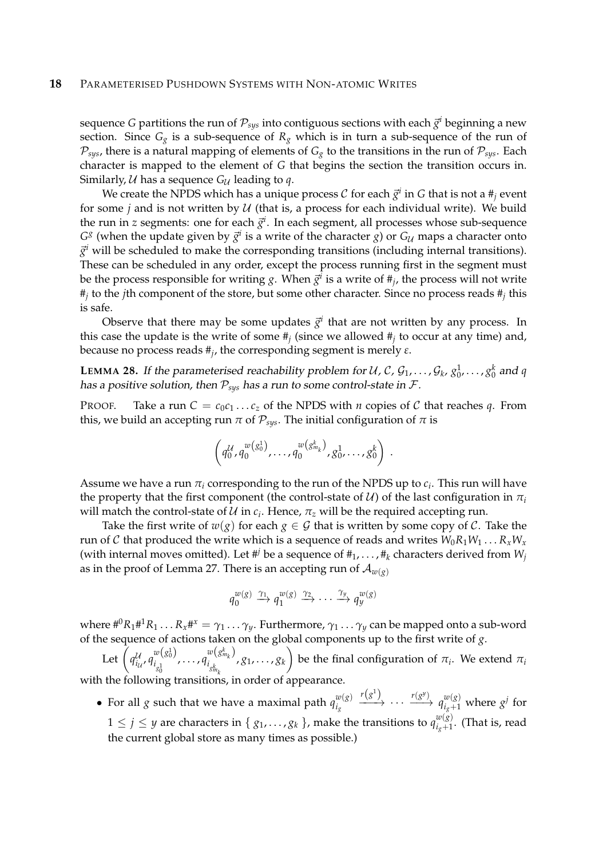#### **18** PARAMETERISED PUSHDOWN SYSTEMS WITH NON-ATOMIC WRITES

sequence G partitions the run of  $\mathcal{P}_{sys}$  into contiguous sections with each  $\vec{g}^i$  beginning a new section. Since  $G_g$  is a sub-sequence of  $R_g$  which is in turn a sub-sequence of the run of  $P_{sys}$ , there is a natural mapping of elements of  $G_g$  to the transitions in the run of  $P_{sys}$ . Each character is mapped to the element of *G* that begins the section the transition occurs in. Similarly,  $U$  has a sequence  $G_U$  leading to  $q$ .

We create the NPDS which has a unique process  $\mathcal C$  for each  $\vec g^i$  in  $G$  that is not a  $\#_{\vec j}$  event for some *j* and is not written by  $U$  (that is, a process for each individual write). We build the run in  $z$  segments: one for each  $\vec{g}^i$ . In each segment, all processes whose sub-sequence  $G^g$  (when the update given by  $\vec{g}^i$  is a write of the character *g*) or  $G_{\mathcal{U}}$  maps a character onto  $\vec{g}^i$  will be scheduled to make the corresponding transitions (including internal transitions). These can be scheduled in any order, except the process running first in the segment must be the process responsible for writing  $g$ . When  $\vec{g}^i$  is a write of  $\#_{j}$ , the process will not write #*j* to the *j*th component of the store, but some other character. Since no process reads #*<sup>j</sup>* this is safe.

Observe that there may be some updates  $\vec{g}^i$  that are not written by any process. In this case the update is the write of some #*<sup>j</sup>* (since we allowed #*<sup>j</sup>* to occur at any time) and, because no process reads #*<sup>j</sup>* , the corresponding segment is merely *ε*.

**LEMMA 28.** If the parameterised reachability problem for U, C,  $\mathcal{G}_1, \ldots, \mathcal{G}_k$ ,  $g_0^1, \ldots, g_0^k$  and  $q$ has a positive solution, then  $P_{sys}$  has a run to some control-state in  $\mathcal{F}$ .

PROOF. Take a run  $C = c_0c_1 \dots c_z$  of the NPDS with *n* copies of C that reaches *q*. From this, we build an accepting run  $\pi$  of  $\mathcal{P}_{sys}$ . The initial configuration of  $\pi$  is

$$
\left(q_0^{\mathcal{U}}, q_0^{w(g_0^1)}, \ldots, q_0^{w(g_{m_k}^k)}, g_0^1, \ldots, g_0^k\right) .
$$

Assume we have a run  $\pi_i$  corresponding to the run of the NPDS up to  $c_i.$  This run will have the property that the first component (the control-state of  $\mathcal{U}$ ) of the last configuration in  $\pi_i$ will match the control-state of  $\mathcal U$  in  $c_i$ . Hence,  $\pi_z$  will be the required accepting run.

Take the first write of  $w(g)$  for each  $g \in \mathcal{G}$  that is written by some copy of  $\mathcal{C}$ . Take the run of C that produced the write which is a sequence of reads and writes  $W_0R_1W_1 \ldots R_xW_x$ (with internal moves omitted). Let #<sup>*j*</sup> be a sequence of  $#_1, \ldots, #_k$  characters derived from  $W_j$ as in the proof of Lemma 27. There is an accepting run of  $\mathcal{A}_{w(g)}$ 

$$
q_0^{w(g)} \xrightarrow{\gamma_1} q_1^{w(g)} \xrightarrow{\gamma_2} \cdots \xrightarrow{\gamma_y} q_y^{w(g)}
$$

where  $\#^0R_1\#^1R_1\ldots R_x\#^x=\gamma_1\ldots\gamma_y.$  Furthermore,  $\gamma_1\ldots\gamma_y$  can be mapped onto a sub-word of the sequence of actions taken on the global components up to the first write of *g*.

Let  $\left(q_i^{\mathcal{U}}\right)$ u , q $\frac{w(s_0^1)}{a_{i_{o^1}}}$ *i*<sub>g</sub><sup>1</sup><sub>g</sub><sup>1</sup></sup>  $\ldots$ ,  $q_{i_k}^{(g_{m_k})}$  $i_{g_{m_k}^k}$ , *g*1, . . . , *g<sup>k</sup>*  $\setminus$ be the final configuration of  $\pi_i$ . We extend  $\pi_i$ with the following transitions, in order of appearance.

• For all *g* such that we have a maximal path  $q_{i}^{w(g)}$ *ig*  $r(g^1)$ −−−→ · · · *r*(*g y* ) −−→ *q w*(*g*) *<sup>i</sup>g*+<sup>1</sup> where *g j* for  $1 \leq j \leq y$  are characters in  $\{g_1, \ldots, g_k\}$ , make the transitions to  $q_{i_o+1}^{w(g)}$  $\frac{w_{\langle \delta \rangle}}{i_{g}+1}$ . (That is, read the current global store as many times as possible.)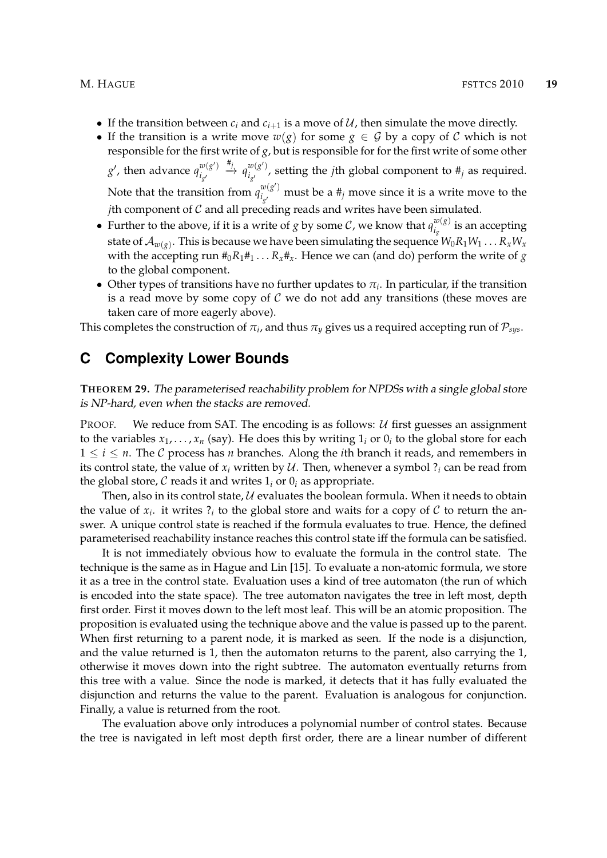- If the transition between  $c_i$  and  $c_{i+1}$  is a move of  $U$ , then simulate the move directly.
- If the transition is a write move  $w(g)$  for some  $g \in \mathcal{G}$  by a copy of  $\mathcal{C}$  which is not responsible for the first write of *g*, but is responsible for for the first write of some other *g*<sup> $\prime$ </sup>, then advance  $q_i^{w(g')}$ *i*<sub>g</sub>  $\overset{\#_j}{\longrightarrow} q_{i}^{w(g')}$  $\frac{d}{dx}(g)$ , setting the *j*th global component to  $\#_j$  as required. Note that the transition from  $q_i^{w(g')}$  $\frac{u_{\backslash 8}}{l_{g'}}$  must be a  $\#_j$  move since it is a write move to the *j*th component of C and all preceding reads and writes have been simulated.
- Further to the above, if it is a write of *g* by some *C*, we know that  $q_{i}^{w(g)}$  $\frac{w(s)}{i_g}$  is an accepting state of  $\mathcal{A}_{w(g)}$ . This is because we have been simulating the sequence  $W_0R_1W_1\ldots R_xW_x$ with the accepting run  $#_0R_1#_1 \ldots R_x#_x$ . Hence we can (and do) perform the write of *g* to the global component.
- Other types of transitions have no further updates to  $\pi_i$ . In particular, if the transition is a read move by some copy of  $C$  we do not add any transitions (these moves are taken care of more eagerly above).

This completes the construction of  $\pi_i$ , and thus  $\pi_y$  gives us a required accepting run of  $\mathcal{P}_{sys}.$ 

## **C Complexity Lower Bounds**

**THEOREM 29.** The parameterised reachability problem for NPDSs with a single global store is NP-hard, even when the stacks are removed.

PROOF. We reduce from SAT. The encoding is as follows:  $U$  first guesses an assignment to the variables  $x_1, \ldots, x_n$  (say). He does this by writing  $1_i$  or  $0_i$  to the global store for each  $1 \leq i \leq n$ . The C process has *n* branches. Along the *i*th branch it reads, and remembers in its control state, the value of  $x_i$  written by  $U$ . Then, whenever a symbol  $\mathcal{P}_i$  can be read from the global store,  $C$  reads it and writes  $1<sub>i</sub>$  or  $0<sub>i</sub>$  as appropriate.

Then, also in its control state,  $U$  evaluates the boolean formula. When it needs to obtain the value of  $x_i$ . it writes  $\mathcal{P}_i$  to the global store and waits for a copy of  $\mathcal C$  to return the answer. A unique control state is reached if the formula evaluates to true. Hence, the defined parameterised reachability instance reaches this control state iff the formula can be satisfied.

It is not immediately obvious how to evaluate the formula in the control state. The technique is the same as in Hague and Lin [15]. To evaluate a non-atomic formula, we store it as a tree in the control state. Evaluation uses a kind of tree automaton (the run of which is encoded into the state space). The tree automaton navigates the tree in left most, depth first order. First it moves down to the left most leaf. This will be an atomic proposition. The proposition is evaluated using the technique above and the value is passed up to the parent. When first returning to a parent node, it is marked as seen. If the node is a disjunction, and the value returned is 1, then the automaton returns to the parent, also carrying the 1, otherwise it moves down into the right subtree. The automaton eventually returns from this tree with a value. Since the node is marked, it detects that it has fully evaluated the disjunction and returns the value to the parent. Evaluation is analogous for conjunction. Finally, a value is returned from the root.

The evaluation above only introduces a polynomial number of control states. Because the tree is navigated in left most depth first order, there are a linear number of different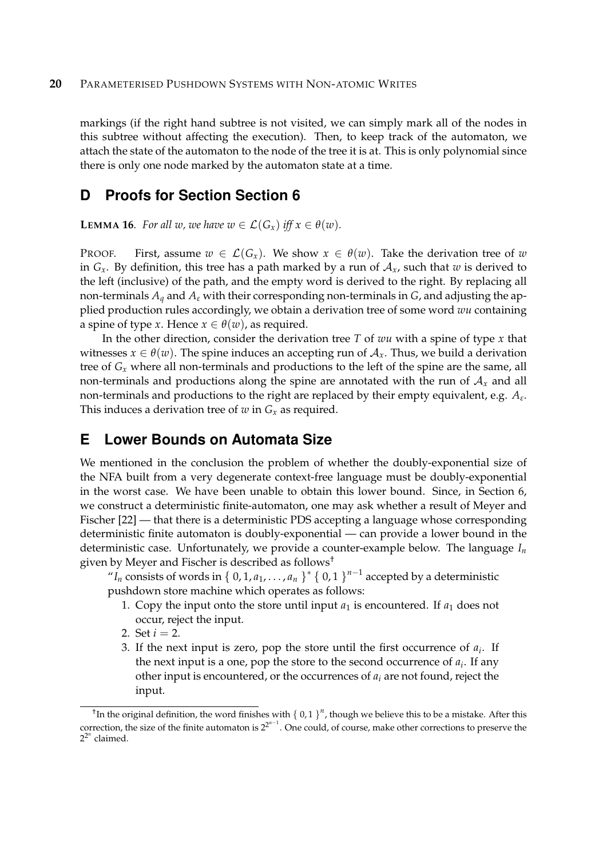markings (if the right hand subtree is not visited, we can simply mark all of the nodes in this subtree without affecting the execution). Then, to keep track of the automaton, we attach the state of the automaton to the node of the tree it is at. This is only polynomial since there is only one node marked by the automaton state at a time.

# **D Proofs for Section Section 6**

**LEMMA 16.** *For all w, we have*  $w \in \mathcal{L}(G_x)$  *iff*  $x \in \theta(w)$ *.* 

PROOF. First, assume  $w \in \mathcal{L}(G_r)$ . We show  $x \in \theta(w)$ . Take the derivation tree of w in  $G_x$ . By definition, this tree has a path marked by a run of  $A_x$ , such that *w* is derived to the left (inclusive) of the path, and the empty word is derived to the right. By replacing all non-terminals *A<sup>q</sup>* and *A<sup>ε</sup>* with their corresponding non-terminals in *G*, and adjusting the applied production rules accordingly, we obtain a derivation tree of some word *wu* containing a spine of type *x*. Hence  $x \in \theta(w)$ , as required.

In the other direction, consider the derivation tree *T* of *wu* with a spine of type *x* that witnesses  $x \in \theta(w)$ . The spine induces an accepting run of  $A_x$ . Thus, we build a derivation tree of *G<sup>x</sup>* where all non-terminals and productions to the left of the spine are the same, all non-terminals and productions along the spine are annotated with the run of  $A<sub>x</sub>$  and all non-terminals and productions to the right are replaced by their empty equivalent, e.g. *A<sup>ε</sup>* . This induces a derivation tree of  $w$  in  $G_x$  as required.

# **E Lower Bounds on Automata Size**

We mentioned in the conclusion the problem of whether the doubly-exponential size of the NFA built from a very degenerate context-free language must be doubly-exponential in the worst case. We have been unable to obtain this lower bound. Since, in Section 6, we construct a deterministic finite-automaton, one may ask whether a result of Meyer and Fischer [22] — that there is a deterministic PDS accepting a language whose corresponding deterministic finite automaton is doubly-exponential — can provide a lower bound in the deterministic case. Unfortunately, we provide a counter-example below. The language *I<sup>n</sup>* given by Meyer and Fischer is described as follows†

" $I_n$  consists of words in { 0, 1, *a*<sub>1</sub>, . . . , *a*<sub>*n*</sub> }<sup>\*</sup> { 0, 1 }<sup>*n*-1</sup> accepted by a deterministic pushdown store machine which operates as follows:

- 1. Copy the input onto the store until input  $a_1$  is encountered. If  $a_1$  does not occur, reject the input.
- 2. Set  $i = 2$ .
- 3. If the next input is zero, pop the store until the first occurrence of *a<sup>i</sup>* . If the next input is a one, pop the store to the second occurrence of *a<sup>i</sup>* . If any other input is encountered, or the occurrences of *a<sup>i</sup>* are not found, reject the input.

<sup>&</sup>lt;sup>†</sup>In the original definition, the word finishes with {  $0,1$  }<sup>n</sup>, though we believe this to be a mistake. After this correction, the size of the finite automaton is  $2^{2^{n-1}}$ . One could, of course, make other corrections to preserve the  $2^{2^n}$  claimed.